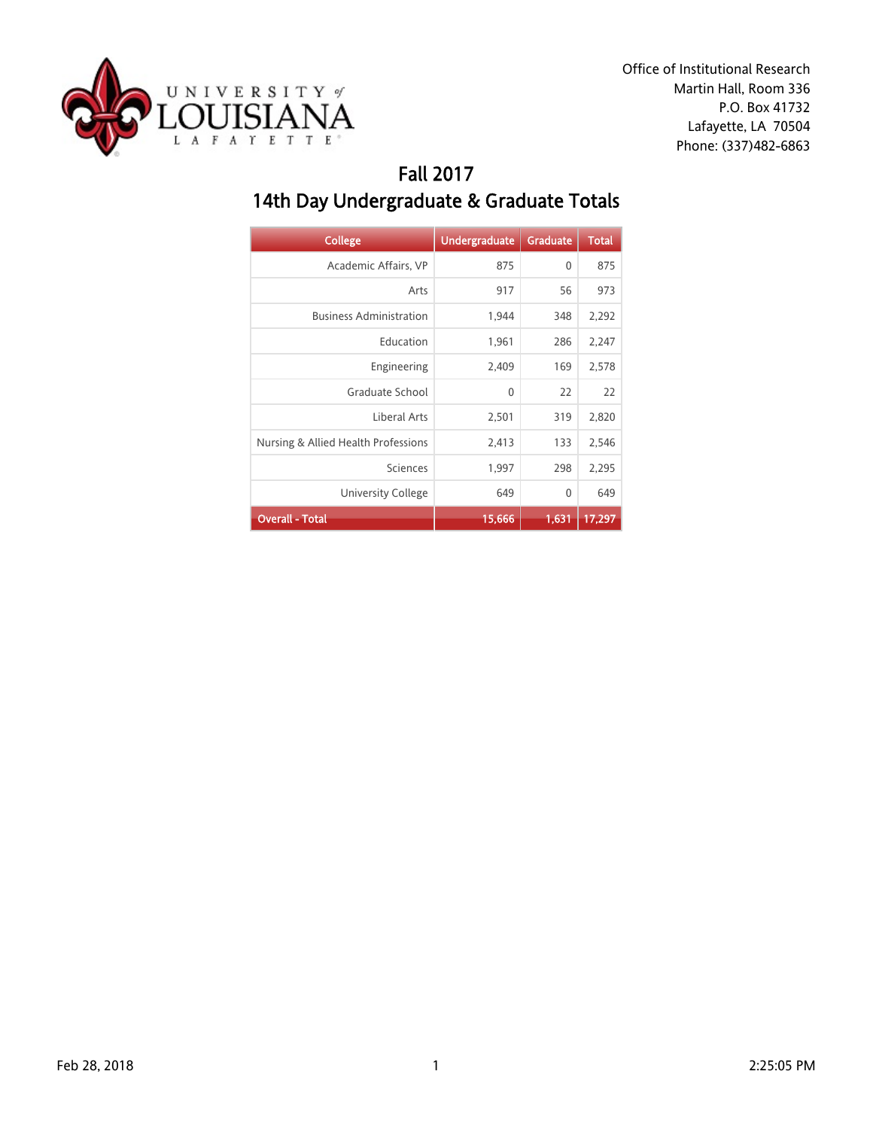

### Fall 2017 14th Day Undergraduate & Graduate Totals

| <b>College</b>                      | <b>Undergraduate</b> | <b>Graduate</b> | <b>Total</b> |
|-------------------------------------|----------------------|-----------------|--------------|
| Academic Affairs, VP                | 875                  | 0               | 875          |
| Arts                                | 917                  | 56              | 973          |
| <b>Business Administration</b>      | 1,944                | 348             | 2,292        |
| Education                           | 1,961                | 286             | 2,247        |
| Engineering                         | 2,409                | 169             | 2,578        |
| Graduate School                     | $\mathbf{0}$         | 22              | 22           |
| Liberal Arts                        | 2,501                | 319             | 2,820        |
| Nursing & Allied Health Professions | 2,413                | 133             | 2,546        |
| Sciences                            | 1,997                | 298             | 2,295        |
| <b>University College</b>           | 649                  | 0               | 649          |
| <b>Overall - Total</b>              | 15,666               | 1,631           | 17,297       |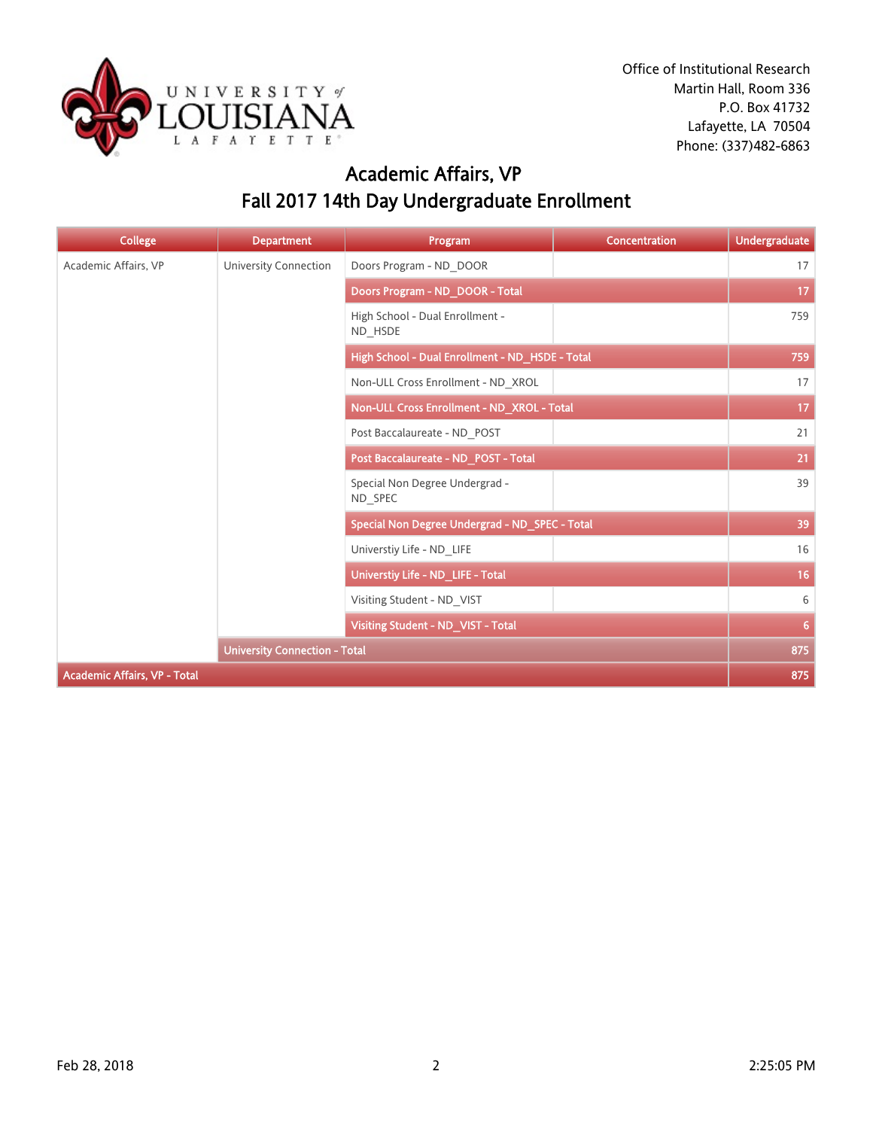

# Academic Affairs, VP Fall 2017 14th Day Undergraduate Enrollment

| <b>College</b>                      | <b>Department</b>                    | Program                                         | <b>Concentration</b> | <b>Undergraduate</b> |
|-------------------------------------|--------------------------------------|-------------------------------------------------|----------------------|----------------------|
| Academic Affairs, VP                | University Connection                | Doors Program - ND DOOR                         |                      | 17                   |
|                                     |                                      | Doors Program - ND DOOR - Total                 |                      | 17                   |
|                                     |                                      | High School - Dual Enrollment -<br>ND HSDE      |                      | 759                  |
|                                     |                                      | High School - Dual Enrollment - ND_HSDE - Total |                      | 759                  |
|                                     |                                      | Non-ULL Cross Enrollment - ND XROL              |                      | 17                   |
|                                     |                                      | Non-ULL Cross Enrollment - ND_XROL - Total      |                      | 17                   |
|                                     |                                      | Post Baccalaureate - ND POST                    |                      | 21                   |
|                                     |                                      | Post Baccalaureate - ND_POST - Total            |                      | 21                   |
|                                     |                                      | Special Non Degree Undergrad -<br>ND SPEC       |                      | 39                   |
|                                     |                                      | Special Non Degree Undergrad - ND_SPEC - Total  |                      | 39                   |
|                                     |                                      | Universtiy Life - ND LIFE                       |                      | 16                   |
|                                     |                                      | Universtiy Life - ND_LIFE - Total               |                      | 16                   |
|                                     |                                      | Visiting Student - ND VIST                      |                      | 6                    |
|                                     |                                      | Visiting Student - ND_VIST - Total              |                      | 6                    |
|                                     | <b>University Connection - Total</b> |                                                 |                      | 875                  |
| <b>Academic Affairs, VP - Total</b> |                                      |                                                 |                      | 875                  |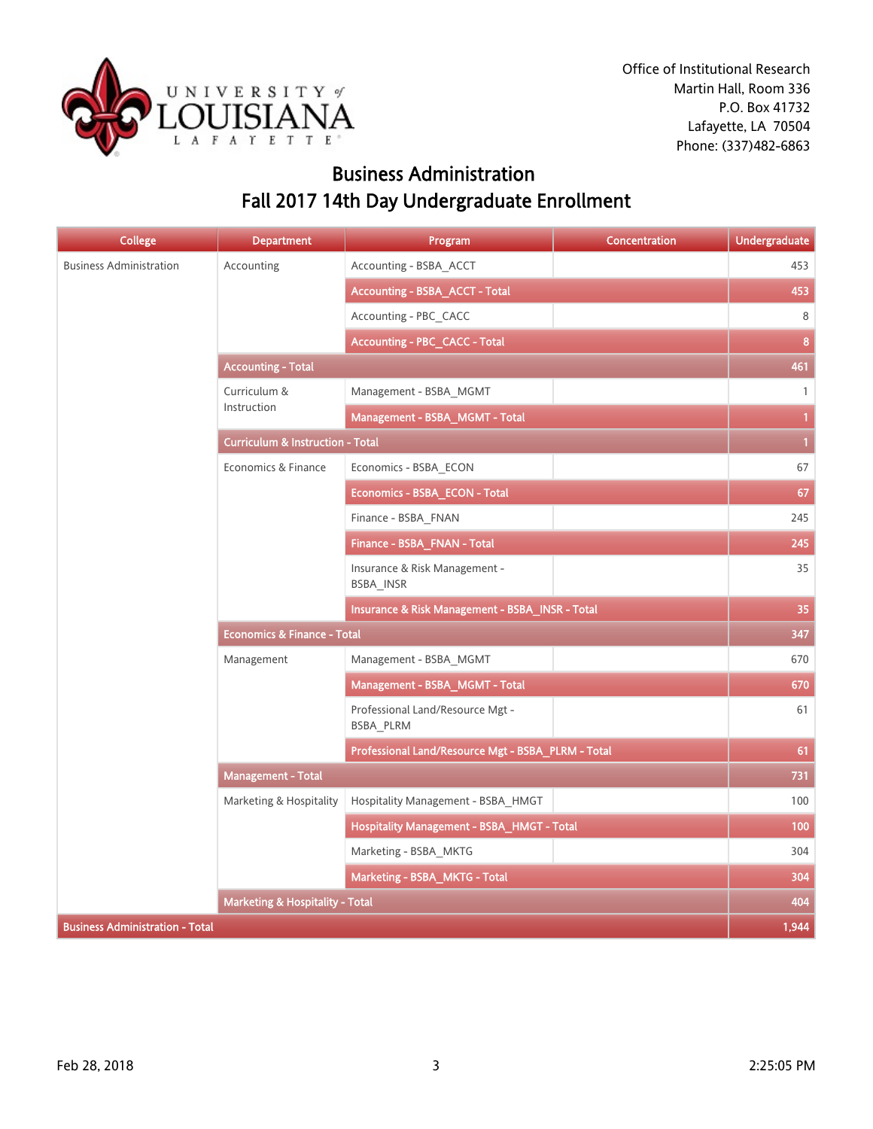

### Business Administration Fall 2017 14th Day Undergraduate Enrollment

| <b>College</b>                         | <b>Department</b>                           | Program                                            | <b>Concentration</b> | <b>Undergraduate</b> |  |
|----------------------------------------|---------------------------------------------|----------------------------------------------------|----------------------|----------------------|--|
| <b>Business Administration</b>         | Accounting                                  | Accounting - BSBA ACCT                             |                      | 453                  |  |
|                                        |                                             | <b>Accounting - BSBA_ACCT - Total</b>              |                      | 453                  |  |
|                                        |                                             | Accounting - PBC CACC                              |                      | 8                    |  |
|                                        |                                             | <b>Accounting - PBC_CACC - Total</b>               |                      | 8                    |  |
|                                        | <b>Accounting - Total</b>                   |                                                    |                      |                      |  |
|                                        | Curriculum &                                | Management - BSBA MGMT                             |                      | $\mathbf{1}$         |  |
|                                        | Instruction                                 | Management - BSBA_MGMT - Total                     |                      | $\mathbf{1}$         |  |
|                                        | <b>Curriculum &amp; Instruction - Total</b> |                                                    |                      | $\mathbf{1}$         |  |
|                                        | Economics & Finance                         | Economics - BSBA ECON                              |                      | 67                   |  |
|                                        |                                             | Economics - BSBA_ECON - Total                      |                      | 67                   |  |
|                                        |                                             | Finance - BSBA FNAN                                |                      | 245                  |  |
|                                        |                                             | Finance - BSBA_FNAN - Total                        |                      | 245                  |  |
|                                        |                                             | Insurance & Risk Management -<br>BSBA INSR         |                      | 35                   |  |
|                                        |                                             | Insurance & Risk Management - BSBA_INSR - Total    |                      | 35                   |  |
|                                        | <b>Economics &amp; Finance - Total</b>      |                                                    |                      | 347                  |  |
|                                        | Management                                  | Management - BSBA MGMT                             |                      | 670                  |  |
|                                        |                                             | Management - BSBA_MGMT - Total                     |                      | 670                  |  |
|                                        |                                             | Professional Land/Resource Mgt -<br>BSBA_PLRM      |                      | 61                   |  |
|                                        |                                             | Professional Land/Resource Mgt - BSBA PLRM - Total |                      | 61                   |  |
|                                        | <b>Management - Total</b>                   |                                                    |                      | 731                  |  |
|                                        | Marketing & Hospitality                     | Hospitality Management - BSBA HMGT                 |                      | 100                  |  |
|                                        |                                             | Hospitality Management - BSBA_HMGT - Total         |                      | 100                  |  |
|                                        |                                             | Marketing - BSBA MKTG                              |                      | 304                  |  |
|                                        |                                             | Marketing - BSBA_MKTG - Total                      |                      | 304                  |  |
|                                        | <b>Marketing &amp; Hospitality - Total</b>  |                                                    |                      | 404                  |  |
| <b>Business Administration - Total</b> |                                             |                                                    |                      | 1,944                |  |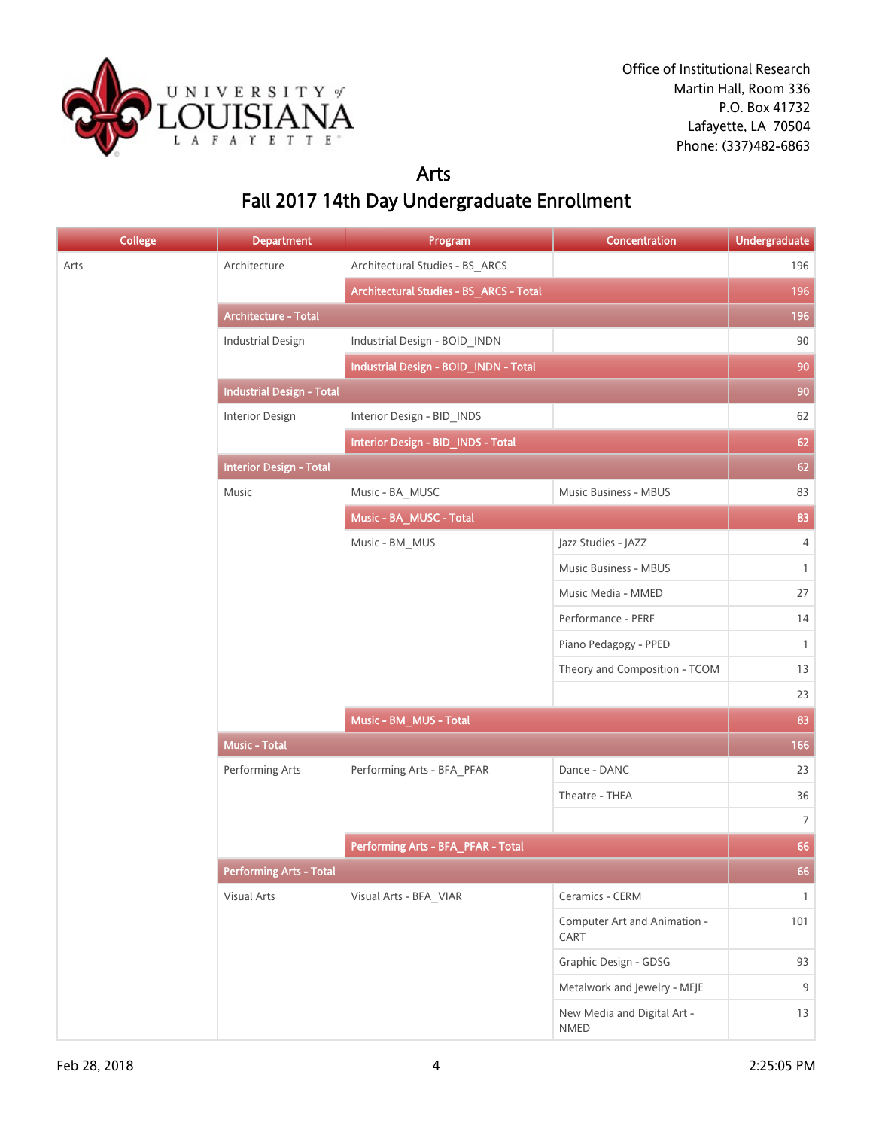

#### Arts Fall 2017 14th Day Undergraduate Enrollment

| <b>College</b> | <b>Department</b>                | Program                                 | Concentration                              | <b>Undergraduate</b> |
|----------------|----------------------------------|-----------------------------------------|--------------------------------------------|----------------------|
| Arts           | Architecture                     | Architectural Studies - BS_ARCS         |                                            | 196                  |
|                |                                  | Architectural Studies - BS_ARCS - Total |                                            | 196                  |
|                | <b>Architecture - Total</b>      |                                         |                                            | 196                  |
|                | <b>Industrial Design</b>         | Industrial Design - BOID_INDN           |                                            | $90\,$               |
|                |                                  | Industrial Design - BOID_INDN - Total   |                                            | 90                   |
|                | <b>Industrial Design - Total</b> |                                         |                                            | 90                   |
|                | Interior Design                  | Interior Design - BID_INDS              |                                            | 62                   |
|                |                                  | Interior Design - BID_INDS - Total      |                                            | 62                   |
|                | <b>Interior Design - Total</b>   |                                         |                                            | 62                   |
|                | Music                            | Music - BA_MUSC                         | Music Business - MBUS                      | 83                   |
|                |                                  | Music - BA_MUSC - Total                 |                                            | 83                   |
|                |                                  | Music - BM MUS                          | Jazz Studies - JAZZ                        | $\overline{4}$       |
|                |                                  |                                         | Music Business - MBUS                      | $\mathbf{1}$         |
|                |                                  |                                         | Music Media - MMED                         | 27                   |
|                |                                  |                                         | Performance - PERF                         | 14                   |
|                |                                  |                                         | Piano Pedagogy - PPED                      | $\mathbf{1}$         |
|                |                                  |                                         | Theory and Composition - TCOM              | 13                   |
|                |                                  |                                         |                                            | 23                   |
|                |                                  | Music - BM_MUS - Total                  |                                            | 83                   |
|                | <b>Music - Total</b>             |                                         |                                            | 166                  |
|                | Performing Arts                  | Performing Arts - BFA_PFAR              | Dance - DANC                               | 23                   |
|                |                                  |                                         | Theatre - THEA                             | 36                   |
|                |                                  |                                         |                                            | $\overline{7}$       |
|                |                                  | Performing Arts - BFA_PFAR - Total      |                                            | 66                   |
|                | <b>Performing Arts - Total</b>   |                                         |                                            | 66                   |
|                | <b>Visual Arts</b>               | Visual Arts - BFA_VIAR                  | Ceramics - CERM                            | $\mathbf{1}$         |
|                |                                  |                                         | Computer Art and Animation -<br>CART       | 101                  |
|                |                                  |                                         | Graphic Design - GDSG                      | 93                   |
|                |                                  |                                         | Metalwork and Jewelry - MEJE               | 9                    |
|                |                                  |                                         | New Media and Digital Art -<br><b>NMED</b> | 13                   |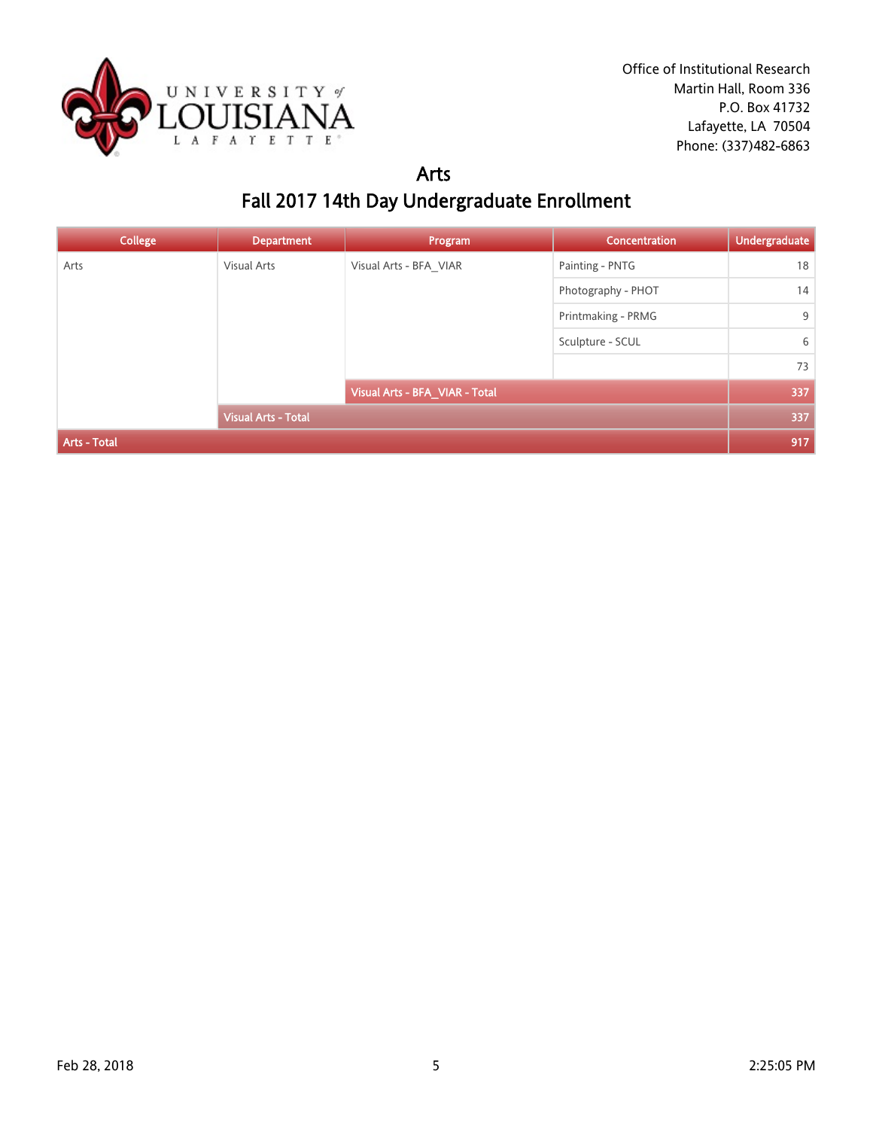

### Arts Fall 2017 14th Day Undergraduate Enrollment

| <b>College</b>             | <b>Department</b>  | Program                        | <b>Concentration</b> | <b>Undergraduate</b> |
|----------------------------|--------------------|--------------------------------|----------------------|----------------------|
| Arts                       | <b>Visual Arts</b> | Visual Arts - BFA VIAR         | Painting - PNTG      | 18                   |
|                            |                    |                                | Photography - PHOT   | 14                   |
| <b>Visual Arts - Total</b> |                    |                                | Printmaking - PRMG   | 9                    |
|                            |                    |                                | Sculpture - SCUL     | 6                    |
|                            |                    |                                |                      | 73                   |
|                            |                    | Visual Arts - BFA_VIAR - Total |                      | 337                  |
|                            |                    |                                | 337                  |                      |
| Arts - Total               |                    |                                |                      | 917                  |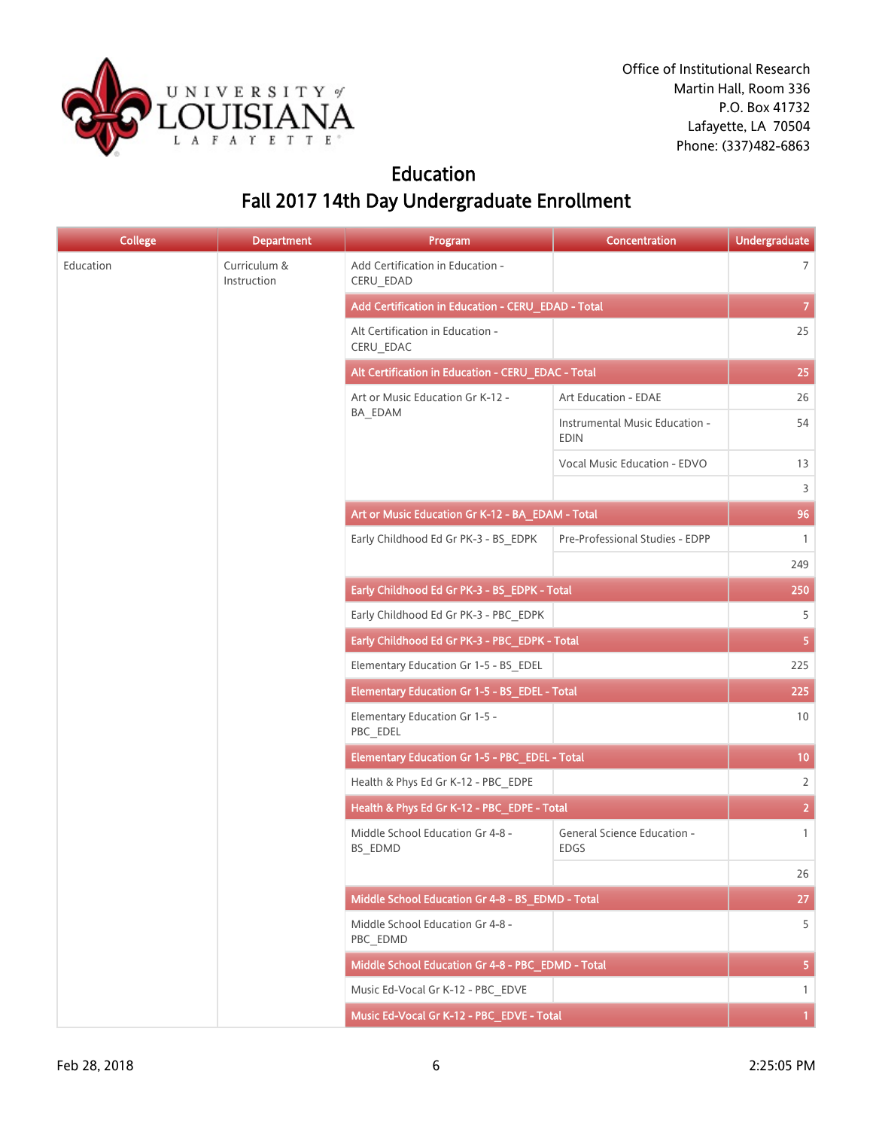

### Education Fall 2017 14th Day Undergraduate Enrollment

| <b>College</b> | <b>Department</b>           | Program                                            | Concentration                                 | <b>Undergraduate</b> |
|----------------|-----------------------------|----------------------------------------------------|-----------------------------------------------|----------------------|
| Education      | Curriculum &<br>Instruction | Add Certification in Education -<br>CERU_EDAD      |                                               | $\overline{7}$       |
|                |                             | Add Certification in Education - CERU_EDAD - Total | 7 <sup>°</sup>                                |                      |
|                |                             | Alt Certification in Education -<br>CERU_EDAC      |                                               | 25                   |
|                |                             | Alt Certification in Education - CERU_EDAC - Total | 25                                            |                      |
|                |                             | Art or Music Education Gr K-12 -                   | Art Education - EDAE                          | 26                   |
|                |                             | BA_EDAM                                            | Instrumental Music Education -<br><b>EDIN</b> | 54                   |
|                |                             |                                                    | Vocal Music Education - EDVO                  | 13                   |
|                |                             |                                                    |                                               | 3                    |
|                |                             | Art or Music Education Gr K-12 - BA_EDAM - Total   |                                               | 96                   |
|                |                             | Early Childhood Ed Gr PK-3 - BS_EDPK               | Pre-Professional Studies - EDPP               | $\mathbf{1}$         |
|                |                             |                                                    |                                               | 249                  |
|                |                             | Early Childhood Ed Gr PK-3 - BS EDPK - Total       |                                               | 250                  |
|                |                             | Early Childhood Ed Gr PK-3 - PBC_EDPK              |                                               | 5                    |
|                |                             | Early Childhood Ed Gr PK-3 - PBC_EDPK - Total      |                                               | 5 <sub>1</sub>       |
|                |                             | Elementary Education Gr 1-5 - BS_EDEL              |                                               | 225                  |
|                |                             | Elementary Education Gr 1-5 - BS_EDEL - Total      |                                               | 225                  |
|                |                             | Elementary Education Gr 1-5 -<br>PBC_EDEL          |                                               | 10                   |
|                |                             | Elementary Education Gr 1-5 - PBC_EDEL - Total     | 10 <sub>1</sub>                               |                      |
|                |                             | Health & Phys Ed Gr K-12 - PBC_EDPE                |                                               | $\overline{2}$       |
|                |                             | Health & Phys Ed Gr K-12 - PBC_EDPE - Total        |                                               | $\overline{2}$       |
|                |                             | Middle School Education Gr 4-8 -<br>BS EDMD        | General Science Education -<br><b>EDGS</b>    | $\mathbf{1}$         |
|                |                             |                                                    |                                               | 26                   |
|                |                             | Middle School Education Gr 4-8 - BS_EDMD - Total   |                                               | 27                   |
|                |                             | Middle School Education Gr 4-8 -<br>PBC EDMD       |                                               | 5                    |
|                |                             | Middle School Education Gr 4-8 - PBC_EDMD - Total  |                                               | 5 <sub>1</sub>       |
|                |                             | Music Ed-Vocal Gr K-12 - PBC EDVE                  |                                               | $\mathbf{1}$         |
|                |                             | Music Ed-Vocal Gr K-12 - PBC_EDVE - Total          |                                               | $\mathbf{1}$         |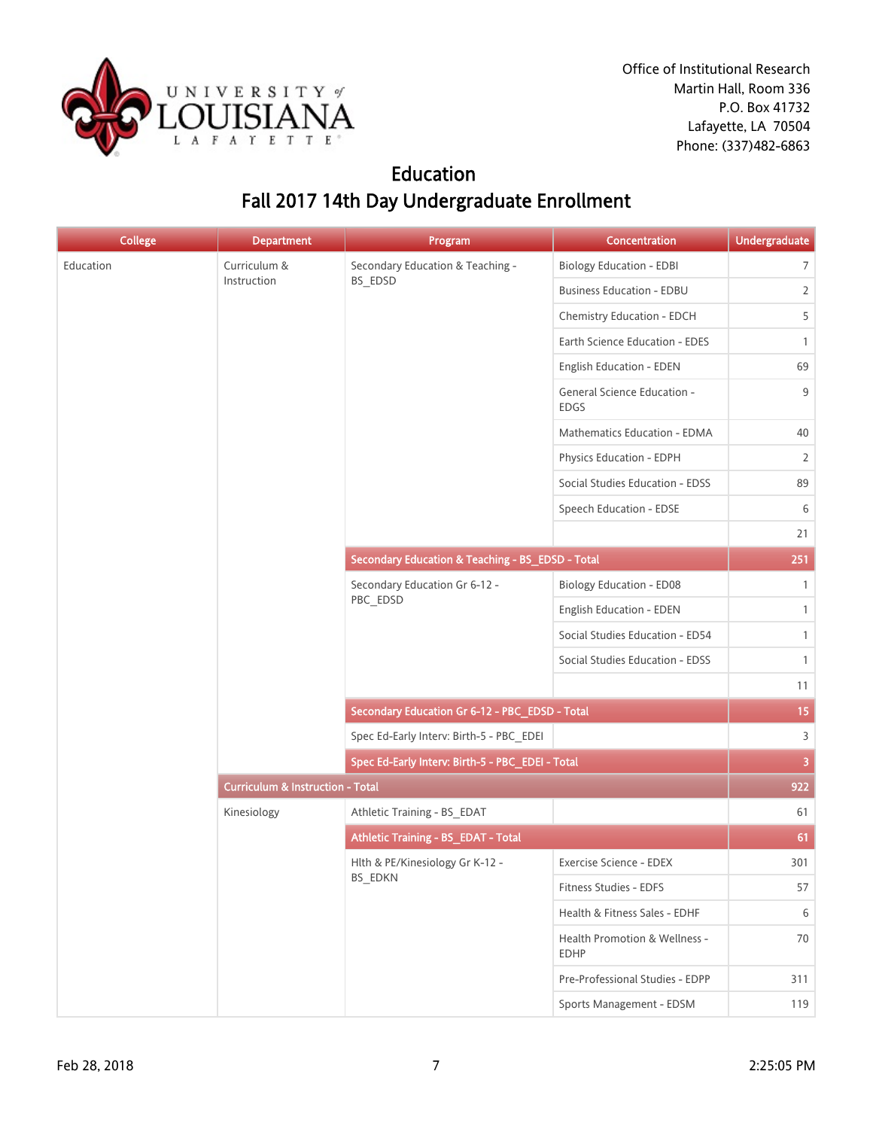

### Education Fall 2017 14th Day Undergraduate Enrollment

| College   | <b>Department</b>                           | Program                                          | Concentration                                | Undergraduate  |
|-----------|---------------------------------------------|--------------------------------------------------|----------------------------------------------|----------------|
| Education | Curriculum &                                | Secondary Education & Teaching -                 | <b>Biology Education - EDBI</b>              | $\overline{7}$ |
|           | Instruction                                 | BS_EDSD                                          | <b>Business Education - EDBU</b>             | $\overline{2}$ |
|           |                                             |                                                  | Chemistry Education - EDCH                   | 5              |
|           |                                             |                                                  | Earth Science Education - EDES               | $\mathbf{1}$   |
|           |                                             |                                                  | English Education - EDEN                     | 69             |
|           |                                             |                                                  | General Science Education -<br><b>EDGS</b>   | 9              |
|           |                                             |                                                  | Mathematics Education - EDMA                 | 40             |
|           |                                             |                                                  | Physics Education - EDPH                     | 2              |
|           |                                             |                                                  | Social Studies Education - EDSS              | 89             |
|           |                                             |                                                  | Speech Education - EDSE                      | 6              |
|           |                                             |                                                  |                                              | 21             |
|           |                                             | Secondary Education & Teaching - BS_EDSD - Total |                                              | 251            |
|           |                                             | Secondary Education Gr 6-12 -<br>PBC_EDSD        | <b>Biology Education - ED08</b>              | $\mathbf{1}$   |
|           |                                             |                                                  | English Education - EDEN                     | $\mathbf{1}$   |
|           |                                             |                                                  | Social Studies Education - ED54              | $\mathbf{1}$   |
|           |                                             |                                                  | Social Studies Education - EDSS              | $\mathbf{1}$   |
|           |                                             |                                                  |                                              | 11             |
|           |                                             | Secondary Education Gr 6-12 - PBC_EDSD - Total   |                                              | 15             |
|           |                                             | Spec Ed-Early Interv: Birth-5 - PBC_EDEI         |                                              | $\overline{3}$ |
|           |                                             | Spec Ed-Early Interv: Birth-5 - PBC_EDEI - Total |                                              | $\overline{3}$ |
|           | <b>Curriculum &amp; Instruction - Total</b> |                                                  |                                              | 922            |
|           | Kinesiology                                 | Athletic Training - BS_EDAT                      |                                              | 61             |
|           |                                             | Athletic Training - BS_EDAT - Total              |                                              | 61             |
|           |                                             | Hlth & PE/Kinesiology Gr K-12 -                  | Exercise Science - EDEX                      | 301            |
|           |                                             | BS_EDKN                                          | Fitness Studies - EDFS                       | 57             |
|           |                                             |                                                  | Health & Fitness Sales - EDHF                | 6              |
|           |                                             |                                                  | Health Promotion & Wellness -<br><b>EDHP</b> | 70             |
|           |                                             |                                                  | Pre-Professional Studies - EDPP              | 311            |
|           |                                             |                                                  | Sports Management - EDSM                     | 119            |
|           |                                             |                                                  |                                              |                |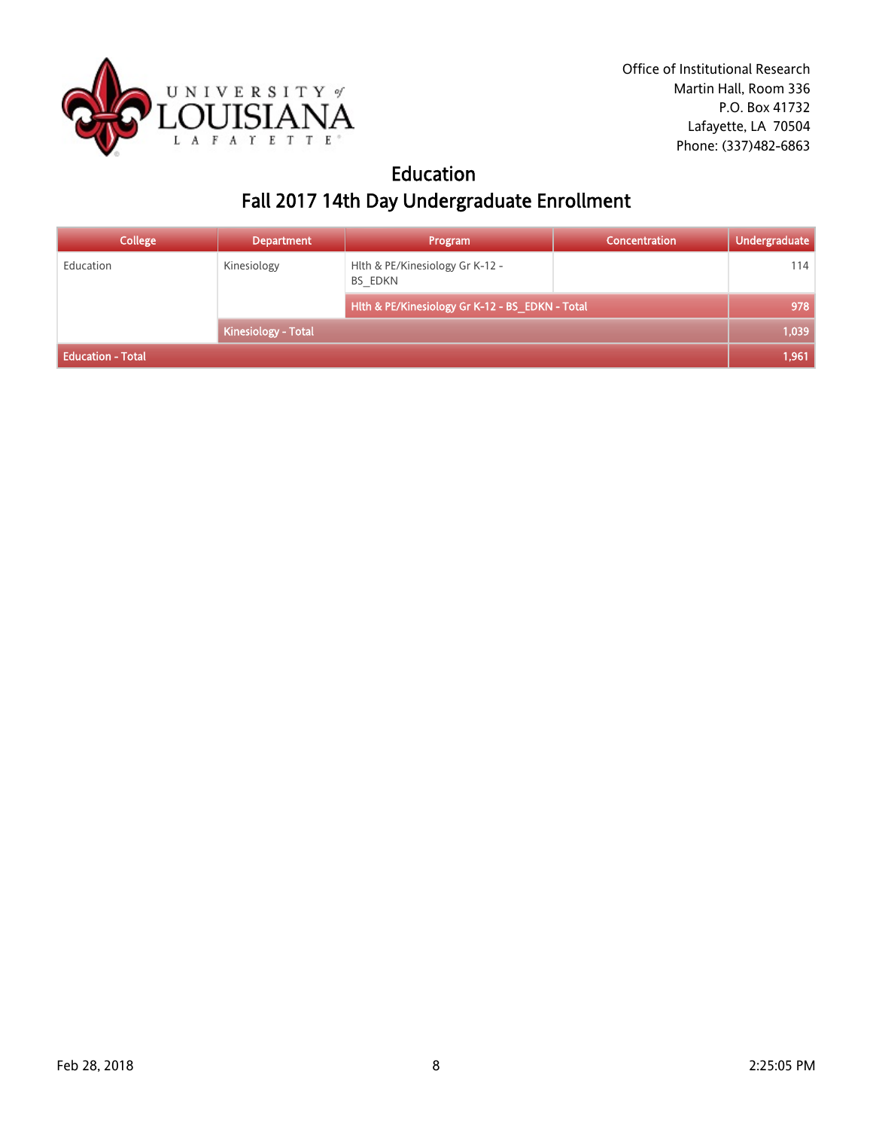

## Education Fall 2017 14th Day Undergraduate Enrollment

| <b>College</b>           | <b>Department</b>          | Program                                         | Concentration | <b>Undergraduate</b> |
|--------------------------|----------------------------|-------------------------------------------------|---------------|----------------------|
| Education                | Kinesiology                | Hith & PE/Kinesiology Gr K-12 -<br>BS EDKN      |               | 114                  |
|                          |                            | Hith & PE/Kinesiology Gr K-12 - BS_EDKN - Total |               | 978                  |
|                          | <b>Kinesiology - Total</b> |                                                 |               | 1.039                |
| <b>Education - Total</b> |                            |                                                 |               | 1,961                |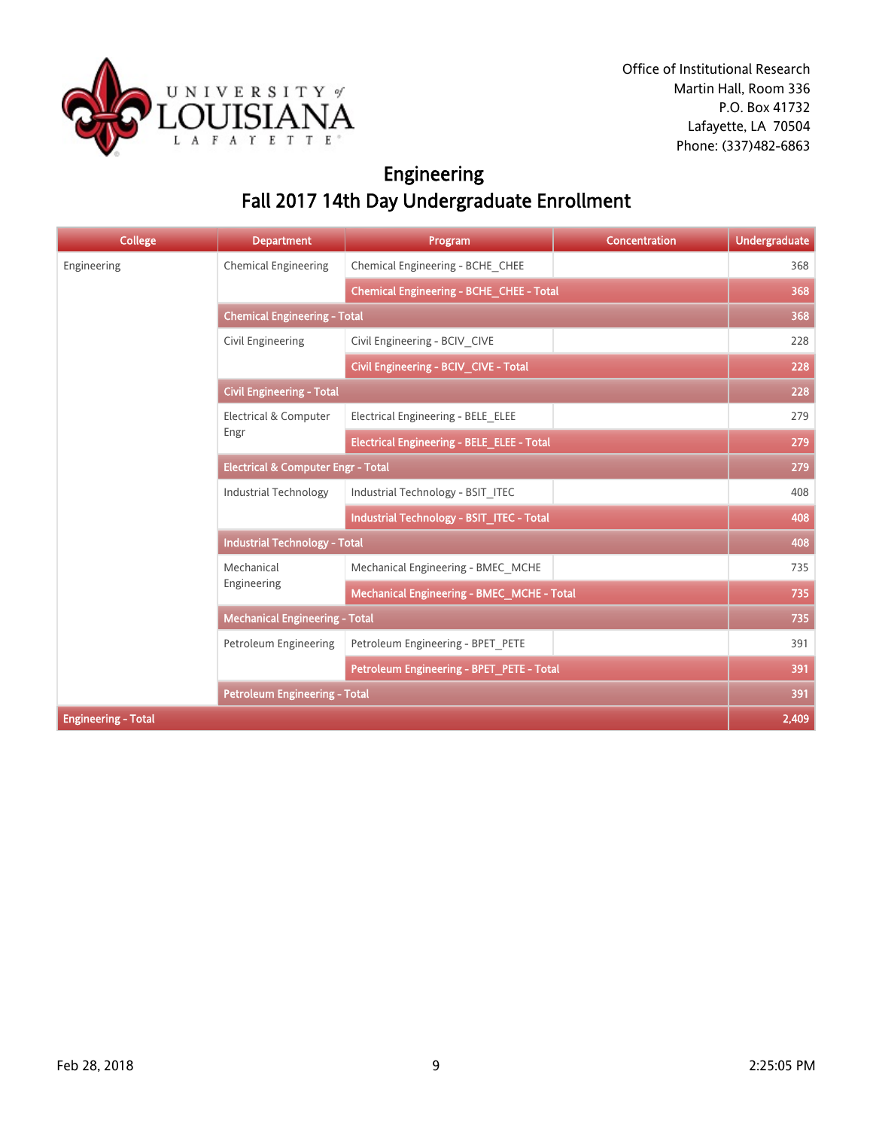

## Engineering Fall 2017 14th Day Undergraduate Enrollment

| <b>College</b>             | <b>Department</b>                             | Program                                           | <b>Concentration</b> | <b>Undergraduate</b> |  |
|----------------------------|-----------------------------------------------|---------------------------------------------------|----------------------|----------------------|--|
| Engineering                | <b>Chemical Engineering</b>                   | Chemical Engineering - BCHE CHEE                  |                      | 368                  |  |
|                            |                                               | Chemical Engineering - BCHE_CHEE - Total          |                      | 368                  |  |
|                            | <b>Chemical Engineering - Total</b>           |                                                   |                      |                      |  |
|                            | Civil Engineering                             | Civil Engineering - BCIV CIVE                     |                      | 228                  |  |
|                            |                                               | Civil Engineering - BCIV_CIVE - Total             |                      | 228                  |  |
|                            | <b>Civil Engineering - Total</b>              |                                                   |                      | 228                  |  |
|                            | <b>Electrical &amp; Computer</b>              | Electrical Engineering - BELE ELEE                |                      | 279                  |  |
|                            | Engr                                          | <b>Electrical Engineering - BELE_ELEE - Total</b> |                      | 279                  |  |
|                            | <b>Electrical &amp; Computer Engr - Total</b> |                                                   |                      | 279                  |  |
|                            | <b>Industrial Technology</b>                  | Industrial Technology - BSIT ITEC                 |                      | 408                  |  |
|                            |                                               | Industrial Technology - BSIT ITEC - Total         |                      | 408                  |  |
|                            | <b>Industrial Technology - Total</b>          |                                                   |                      |                      |  |
|                            | Mechanical<br>Engineering                     | Mechanical Engineering - BMEC MCHE                |                      | 735                  |  |
|                            |                                               | <b>Mechanical Engineering - BMEC_MCHE - Total</b> |                      | 735                  |  |
|                            | <b>Mechanical Engineering - Total</b>         |                                                   |                      | 735                  |  |
|                            | <b>Petroleum Engineering</b>                  | Petroleum Engineering - BPET PETE                 |                      | 391                  |  |
|                            |                                               | Petroleum Engineering - BPET_PETE - Total         |                      | 391                  |  |
|                            | <b>Petroleum Engineering - Total</b>          |                                                   |                      | 391                  |  |
| <b>Engineering - Total</b> |                                               |                                                   |                      |                      |  |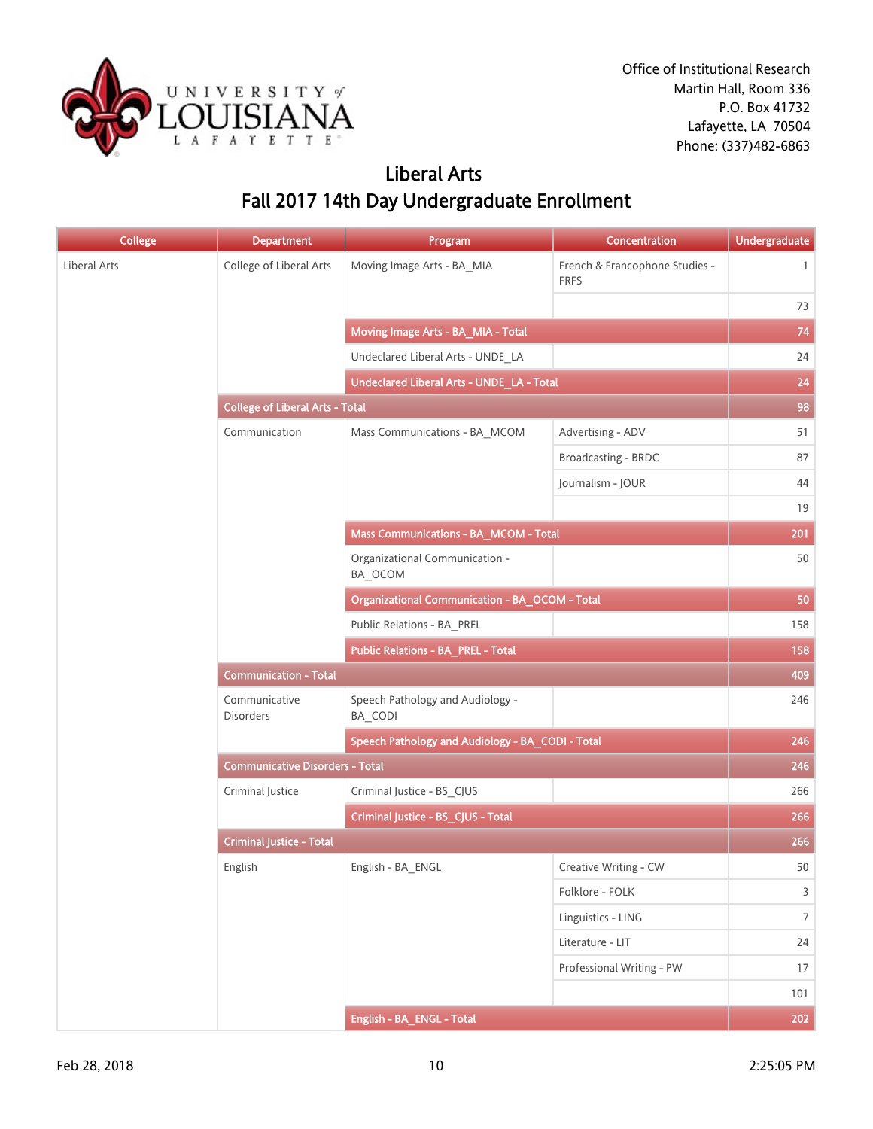

## Liberal Arts Fall 2017 14th Day Undergraduate Enrollment

| <b>College</b> | <b>Department</b>                         | Program                                               | Concentration                                 | <b>Undergraduate</b> |  |
|----------------|-------------------------------------------|-------------------------------------------------------|-----------------------------------------------|----------------------|--|
| Liberal Arts   | College of Liberal Arts                   | Moving Image Arts - BA_MIA                            | French & Francophone Studies -<br><b>FRFS</b> | $\mathbf{1}$         |  |
|                |                                           |                                                       |                                               | 73                   |  |
|                |                                           | Moving Image Arts - BA_MIA - Total                    |                                               | 74                   |  |
|                |                                           | Undeclared Liberal Arts - UNDE_LA                     |                                               | 24                   |  |
|                | Undeclared Liberal Arts - UNDE_LA - Total |                                                       |                                               |                      |  |
|                | <b>College of Liberal Arts - Total</b>    |                                                       |                                               | 98                   |  |
|                | Communication                             | Mass Communications - BA_MCOM                         | Advertising - ADV                             | 51                   |  |
|                |                                           |                                                       | Broadcasting - BRDC                           | 87                   |  |
|                |                                           |                                                       | Journalism - JOUR                             | 44                   |  |
|                |                                           |                                                       |                                               | 19                   |  |
|                |                                           | Mass Communications - BA_MCOM - Total                 |                                               | 201                  |  |
|                |                                           | Organizational Communication -<br>BA_OCOM             |                                               | 50                   |  |
|                |                                           | <b>Organizational Communication - BA_OCOM - Total</b> |                                               | 50                   |  |
|                |                                           | Public Relations - BA_PREL                            |                                               | 158                  |  |
|                |                                           | Public Relations - BA_PREL - Total                    |                                               | 158                  |  |
|                | <b>Communication - Total</b>              |                                                       |                                               | 409                  |  |
|                | Communicative<br><b>Disorders</b>         | Speech Pathology and Audiology -<br>BA_CODI           |                                               | 246                  |  |
|                |                                           | Speech Pathology and Audiology - BA_CODI - Total      |                                               | 246                  |  |
|                | <b>Communicative Disorders - Total</b>    |                                                       |                                               | 246                  |  |
|                | Criminal Justice                          | Criminal Justice - BS_CJUS                            |                                               | 266                  |  |
|                |                                           | Criminal Justice - BS_CJUS - Total                    |                                               | 266                  |  |
|                | <b>Criminal Justice - Total</b>           |                                                       |                                               | 266                  |  |
|                | English                                   | English - BA_ENGL                                     | Creative Writing - CW                         | 50                   |  |
|                |                                           |                                                       | Folklore - FOLK                               | $\mathsf{3}$         |  |
|                |                                           |                                                       | Linguistics - LING                            | $7\overline{ }$      |  |
|                |                                           |                                                       | Literature - LIT                              | 24                   |  |
|                |                                           |                                                       | Professional Writing - PW                     | 17                   |  |
|                |                                           |                                                       |                                               | 101                  |  |
|                |                                           | English - BA_ENGL - Total                             |                                               | 202                  |  |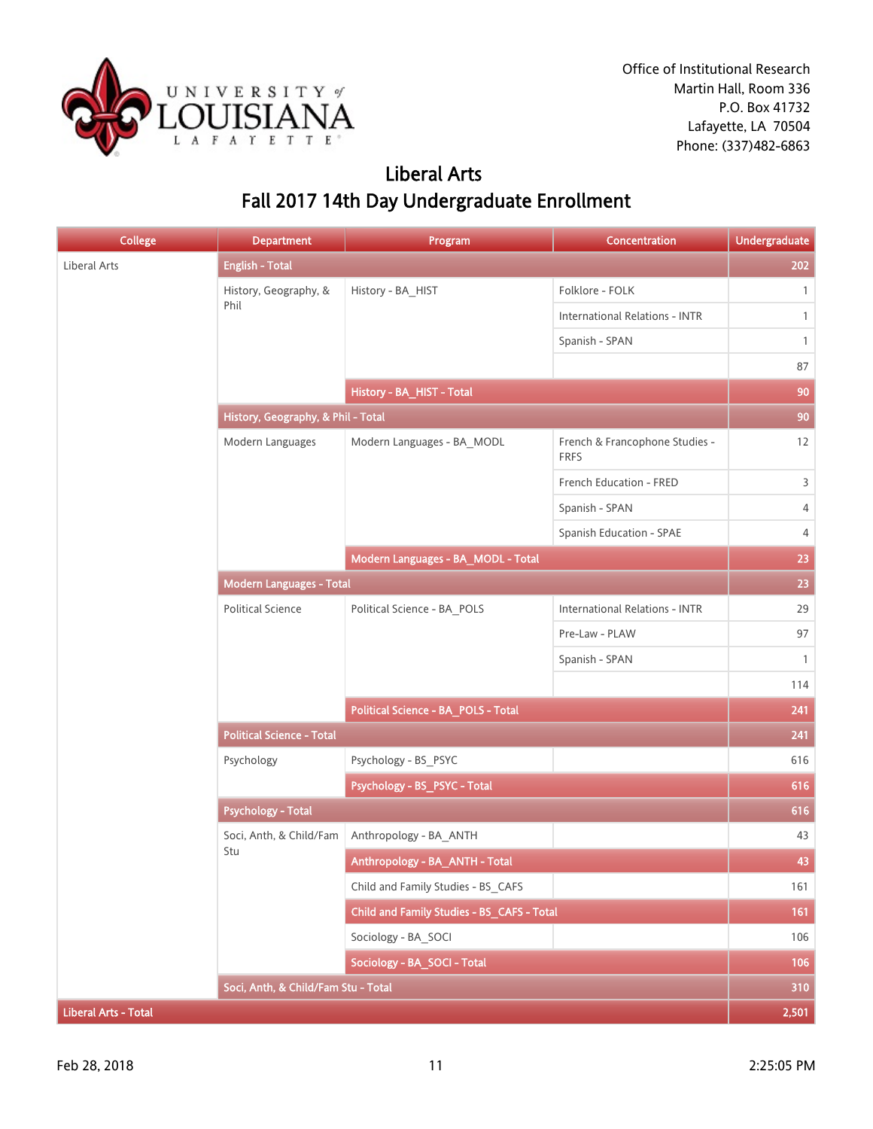

### Liberal Arts Fall 2017 14th Day Undergraduate Enrollment

| <b>College</b>              | <b>Department</b>                   | Program                                    | Concentration                                 | <b>Undergraduate</b> |
|-----------------------------|-------------------------------------|--------------------------------------------|-----------------------------------------------|----------------------|
| Liberal Arts                | <b>English - Total</b>              |                                            |                                               | 202                  |
|                             | History, Geography, &               | History - BA_HIST                          | Folklore - FOLK                               | $\mathbf{1}$         |
|                             | Phil                                |                                            | <b>International Relations - INTR</b>         | $\mathbf{1}$         |
|                             |                                     |                                            | Spanish - SPAN                                | $\mathbf{1}$         |
|                             |                                     |                                            |                                               | 87                   |
|                             |                                     | History - BA_HIST - Total                  |                                               | 90                   |
|                             |                                     | History, Geography, & Phil - Total         |                                               |                      |
|                             | Modern Languages                    | Modern Languages - BA_MODL                 | French & Francophone Studies -<br><b>FRFS</b> | 12                   |
|                             |                                     |                                            | French Education - FRED                       | 3                    |
|                             |                                     |                                            | Spanish - SPAN                                | 4                    |
|                             |                                     |                                            | Spanish Education - SPAE                      | 4                    |
|                             |                                     | Modern Languages - BA_MODL - Total         |                                               | 23                   |
|                             | <b>Modern Languages - Total</b>     |                                            |                                               | 23                   |
|                             | <b>Political Science</b>            | Political Science - BA_POLS                | <b>International Relations - INTR</b>         | 29                   |
|                             |                                     |                                            | Pre-Law - PLAW                                | 97                   |
|                             |                                     |                                            | Spanish - SPAN                                | $\mathbf{1}$         |
|                             |                                     |                                            |                                               | 114                  |
|                             |                                     | Political Science - BA_POLS - Total        |                                               | 241                  |
|                             | <b>Political Science - Total</b>    |                                            |                                               | 241                  |
|                             | Psychology                          | Psychology - BS_PSYC                       |                                               | 616                  |
|                             |                                     | Psychology - BS_PSYC - Total               |                                               | 616                  |
|                             | <b>Psychology - Total</b>           |                                            |                                               | 616                  |
|                             | Soci, Anth, & Child/Fam             | Anthropology - BA_ANTH                     |                                               | 43                   |
|                             | Stu                                 | Anthropology - BA_ANTH - Total             |                                               | 43                   |
|                             |                                     | Child and Family Studies - BS CAFS         |                                               | 161                  |
|                             |                                     | Child and Family Studies - BS_CAFS - Total |                                               | 161                  |
|                             |                                     | Sociology - BA_SOCI                        |                                               | 106                  |
|                             |                                     | Sociology - BA_SOCI - Total                |                                               | 106                  |
|                             | Soci, Anth, & Child/Fam Stu - Total |                                            |                                               | 310                  |
| <b>Liberal Arts - Total</b> |                                     |                                            |                                               | 2,501                |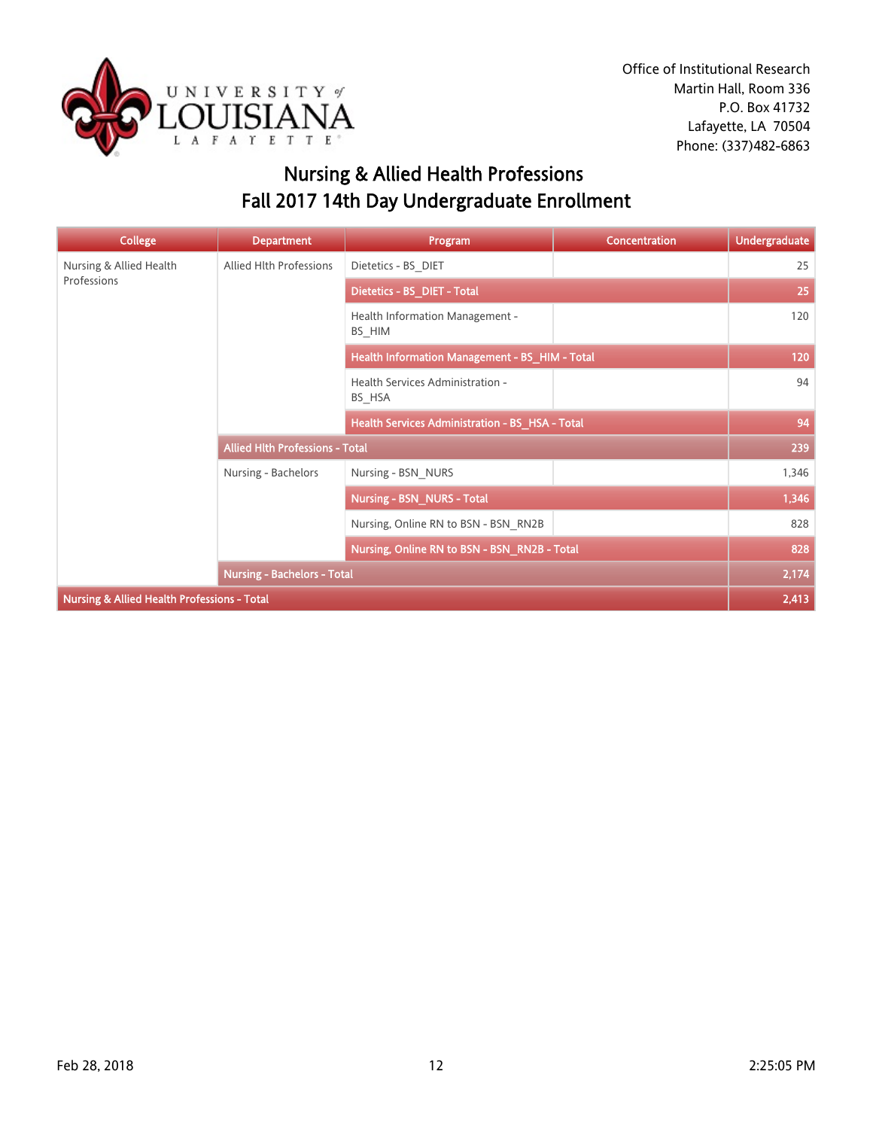

## Nursing & Allied Health Professions Fall 2017 14th Day Undergraduate Enrollment

| <b>College</b>                                         | <b>Department</b>                      | Program                                         | <b>Concentration</b> | <b>Undergraduate</b> |
|--------------------------------------------------------|----------------------------------------|-------------------------------------------------|----------------------|----------------------|
| Nursing & Allied Health                                | Allied Hlth Professions                | Dietetics - BS DIET                             |                      | 25                   |
| Professions                                            |                                        | Dietetics - BS_DIET - Total                     |                      | 25                   |
|                                                        |                                        | Health Information Management -<br>BS HIM       |                      | 120                  |
|                                                        |                                        | Health Information Management - BS_HIM - Total  |                      | 120                  |
|                                                        |                                        | Health Services Administration -<br>BS HSA      |                      | 94                   |
|                                                        |                                        | Health Services Administration - BS_HSA - Total |                      | 94                   |
|                                                        | <b>Allied Hith Professions - Total</b> |                                                 |                      | 239                  |
|                                                        | Nursing - Bachelors                    | Nursing - BSN NURS                              |                      | 1,346                |
|                                                        |                                        | Nursing - BSN_NURS - Total                      |                      | 1,346                |
|                                                        |                                        | Nursing, Online RN to BSN - BSN RN2B            |                      | 828                  |
|                                                        |                                        | Nursing, Online RN to BSN - BSN_RN2B - Total    |                      | 828                  |
|                                                        | <b>Nursing - Bachelors - Total</b>     |                                                 |                      | 2,174                |
| <b>Nursing &amp; Allied Health Professions - Total</b> |                                        |                                                 |                      | 2,413                |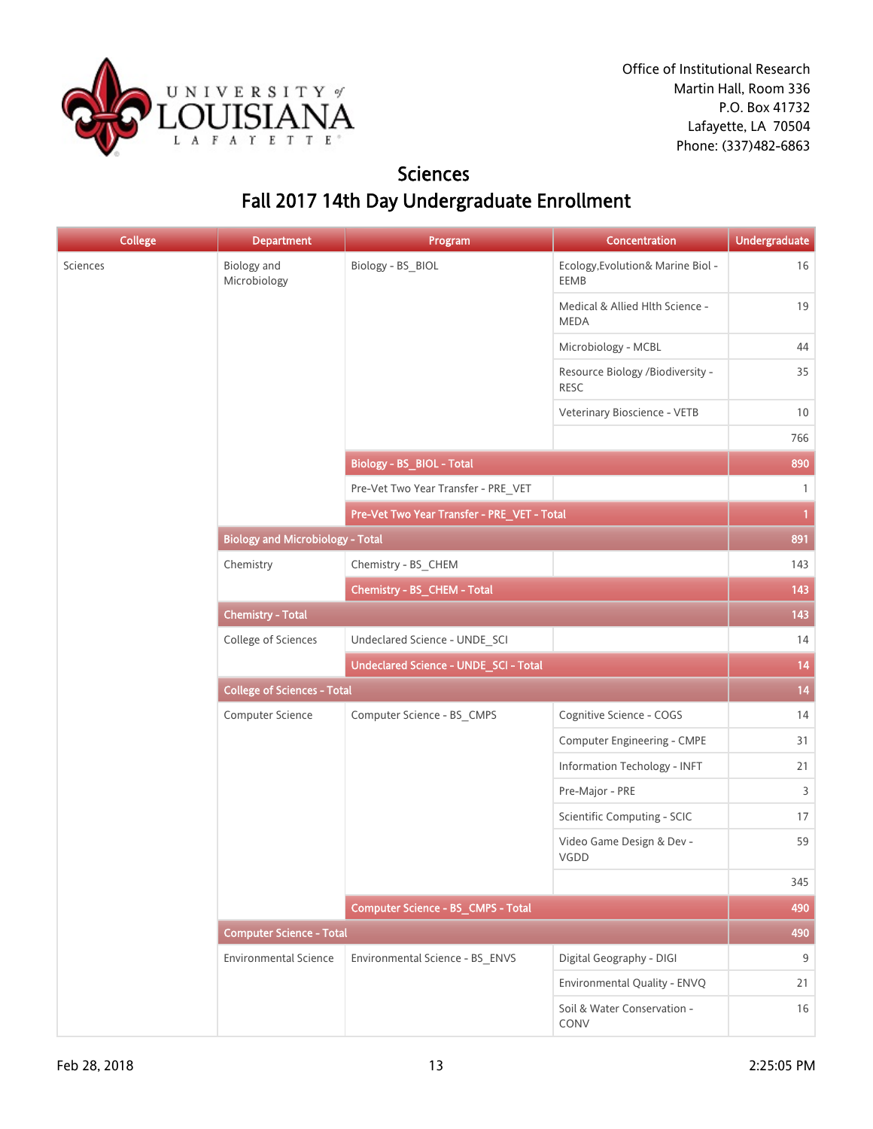

### Sciences Fall 2017 14th Day Undergraduate Enrollment

| <b>College</b> | <b>Department</b>                       | Program                                      | Concentration                                   | <b>Undergraduate</b> |
|----------------|-----------------------------------------|----------------------------------------------|-------------------------------------------------|----------------------|
| Sciences       | Biology and<br>Microbiology             | Biology - BS_BIOL                            | Ecology, Evolution& Marine Biol -<br>EEMB       | 16                   |
|                |                                         |                                              | Medical & Allied Hlth Science -<br><b>MEDA</b>  | 19                   |
|                |                                         |                                              | Microbiology - MCBL                             | 44                   |
|                |                                         |                                              | Resource Biology /Biodiversity -<br><b>RESC</b> | 35                   |
|                |                                         |                                              | Veterinary Bioscience - VETB                    | 10                   |
|                |                                         |                                              |                                                 | 766                  |
|                |                                         | <b>Biology - BS_BIOL - Total</b>             |                                                 | 890                  |
|                |                                         | Pre-Vet Two Year Transfer - PRE_VET          |                                                 | $\mathbf{1}$         |
|                |                                         | Pre-Vet Two Year Transfer - PRE_VET - Total  |                                                 | $\mathbf{1}$         |
|                | <b>Biology and Microbiology - Total</b> |                                              |                                                 | 891                  |
|                | Chemistry                               | Chemistry - BS_CHEM                          |                                                 | 143                  |
|                |                                         | Chemistry - BS_CHEM - Total                  |                                                 | 143                  |
|                | <b>Chemistry - Total</b>                |                                              |                                                 | 143                  |
|                | College of Sciences                     | Undeclared Science - UNDE_SCI                |                                                 | 14                   |
|                |                                         | <b>Undeclared Science - UNDE_SCI - Total</b> |                                                 | 14                   |
|                | <b>College of Sciences - Total</b>      |                                              |                                                 |                      |
|                | Computer Science                        | Computer Science - BS_CMPS                   | Cognitive Science - COGS                        | 14                   |
|                |                                         |                                              | <b>Computer Engineering - CMPE</b>              | 31                   |
|                |                                         |                                              | Information Techology - INFT                    | 21                   |
|                |                                         |                                              | Pre-Major - PRE                                 | 3                    |
|                |                                         |                                              | Scientific Computing - SCIC                     | 17                   |
|                |                                         |                                              | Video Game Design & Dev -<br>VGDD               | 59                   |
|                |                                         |                                              |                                                 | 345                  |
|                |                                         | Computer Science - BS_CMPS - Total           |                                                 | 490                  |
|                | <b>Computer Science - Total</b>         |                                              |                                                 | 490                  |
|                | <b>Environmental Science</b>            | Environmental Science - BS_ENVS              | Digital Geography - DIGI                        | 9                    |
|                |                                         |                                              | Environmental Quality - ENVQ                    | 21                   |
|                |                                         |                                              | Soil & Water Conservation -<br>CONV             | 16                   |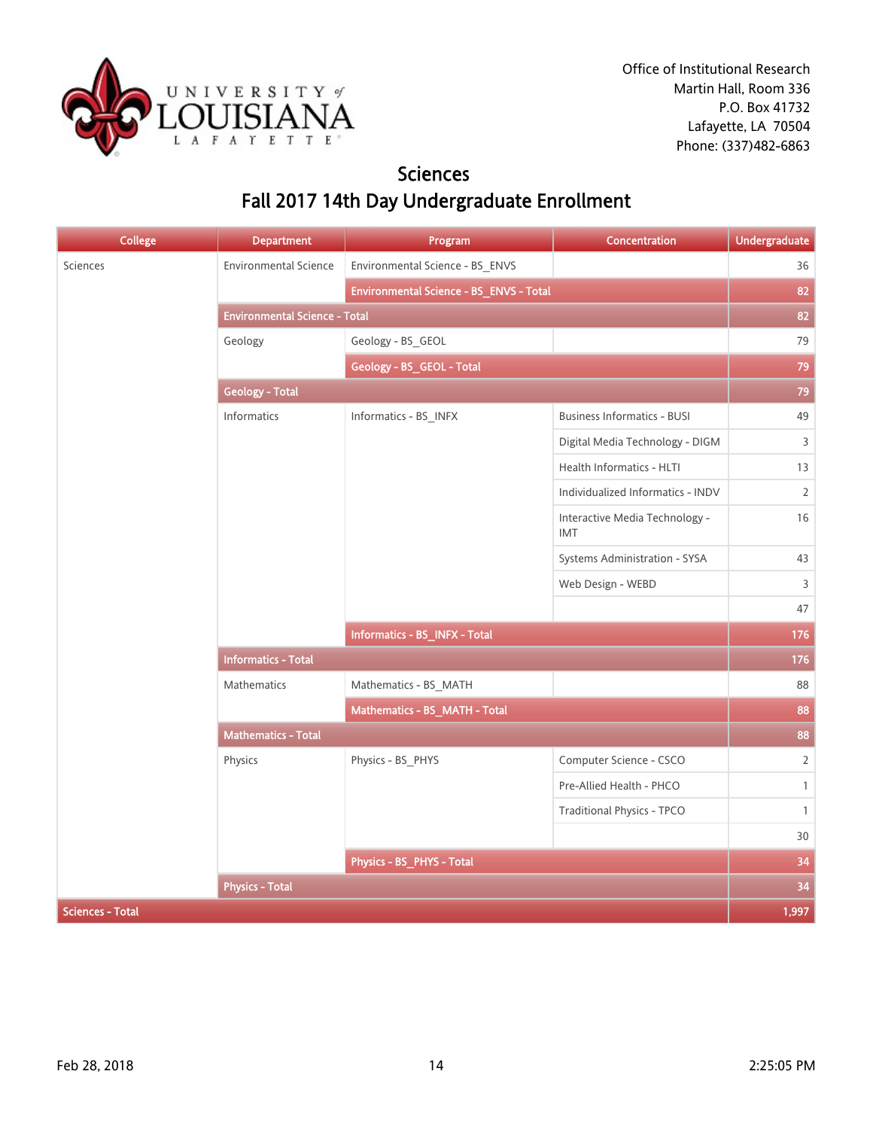

### **Sciences** Fall 2017 14th Day Undergraduate Enrollment

| <b>College</b>          | <b>Department</b>                    | Program                                 | Concentration                         | <b>Undergraduate</b> |  |
|-------------------------|--------------------------------------|-----------------------------------------|---------------------------------------|----------------------|--|
| Sciences                | Environmental Science                | Environmental Science - BS_ENVS         |                                       | 36                   |  |
|                         |                                      | Environmental Science - BS_ENVS - Total |                                       | 82                   |  |
|                         | <b>Environmental Science - Total</b> |                                         |                                       |                      |  |
|                         | Geology                              | Geology - BS_GEOL                       |                                       | 79                   |  |
|                         |                                      | Geology - BS_GEOL - Total               |                                       | 79                   |  |
|                         | <b>Geology - Total</b>               |                                         |                                       | 79                   |  |
|                         | Informatics                          | Informatics - BS_INFX                   | <b>Business Informatics - BUSI</b>    | 49                   |  |
|                         |                                      |                                         | Digital Media Technology - DIGM       | 3                    |  |
|                         |                                      |                                         | Health Informatics - HLTI             | 13                   |  |
|                         |                                      |                                         | Individualized Informatics - INDV     | $\overline{2}$       |  |
|                         |                                      |                                         | Interactive Media Technology -<br>IMT | 16                   |  |
|                         |                                      |                                         | Systems Administration - SYSA         | 43                   |  |
|                         |                                      |                                         | Web Design - WEBD                     | 3                    |  |
|                         |                                      |                                         |                                       | 47                   |  |
|                         |                                      | Informatics - BS_INFX - Total           |                                       | 176                  |  |
|                         | <b>Informatics - Total</b>           |                                         |                                       | 176                  |  |
|                         | Mathematics                          | Mathematics - BS_MATH                   |                                       | 88                   |  |
|                         |                                      | Mathematics - BS_MATH - Total           |                                       | 88                   |  |
|                         | <b>Mathematics - Total</b>           |                                         |                                       | 88                   |  |
|                         | Physics                              | Physics - BS_PHYS                       | Computer Science - CSCO               | $\overline{2}$       |  |
|                         |                                      |                                         | Pre-Allied Health - PHCO              | $\mathbf{1}$         |  |
|                         |                                      |                                         | <b>Traditional Physics - TPCO</b>     | $\mathbf{1}$         |  |
|                         |                                      |                                         |                                       | 30                   |  |
|                         |                                      | Physics - BS_PHYS - Total               |                                       | 34                   |  |
|                         | <b>Physics - Total</b>               |                                         |                                       | 34                   |  |
| <b>Sciences - Total</b> |                                      |                                         |                                       | 1,997                |  |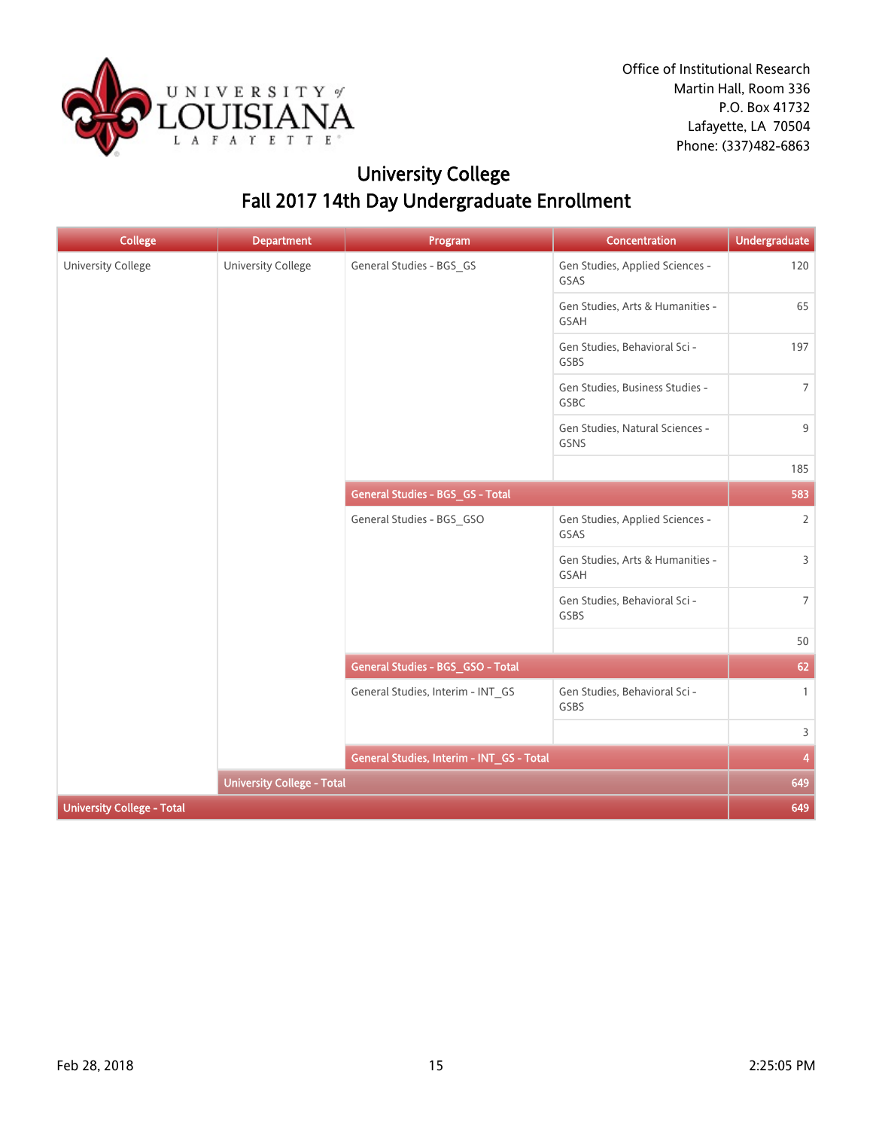

## University College Fall 2017 14th Day Undergraduate Enrollment

| <b>College</b>                    | <b>Department</b>                 | Program                                   | Concentration                            | Undergraduate   |
|-----------------------------------|-----------------------------------|-------------------------------------------|------------------------------------------|-----------------|
| University College                | <b>University College</b>         | General Studies - BGS_GS                  | Gen Studies, Applied Sciences -<br>GSAS  | 120             |
|                                   |                                   |                                           | Gen Studies, Arts & Humanities -<br>GSAH | 65              |
|                                   |                                   |                                           | Gen Studies, Behavioral Sci -<br>GSBS    | 197             |
|                                   |                                   |                                           | Gen Studies, Business Studies -<br>GSBC  | $7\overline{ }$ |
|                                   |                                   |                                           | Gen Studies, Natural Sciences -<br>GSNS  | 9               |
|                                   |                                   |                                           |                                          | 185             |
|                                   |                                   | General Studies - BGS_GS - Total          |                                          | 583             |
|                                   |                                   | General Studies - BGS_GSO                 | Gen Studies, Applied Sciences -<br>GSAS  | $\overline{2}$  |
|                                   |                                   |                                           | Gen Studies, Arts & Humanities -<br>GSAH | $\overline{3}$  |
|                                   |                                   |                                           | Gen Studies, Behavioral Sci -<br>GSBS    | 7 <sup>7</sup>  |
|                                   |                                   |                                           |                                          | 50              |
|                                   |                                   | General Studies - BGS_GSO - Total         |                                          | 62              |
|                                   |                                   | General Studies, Interim - INT_GS         | Gen Studies, Behavioral Sci -<br>GSBS    | $\mathbf{1}$    |
|                                   |                                   |                                           |                                          | $\overline{3}$  |
|                                   |                                   | General Studies, Interim - INT_GS - Total |                                          | 4               |
|                                   | <b>University College - Total</b> |                                           |                                          | 649             |
| <b>University College - Total</b> |                                   |                                           |                                          | 649             |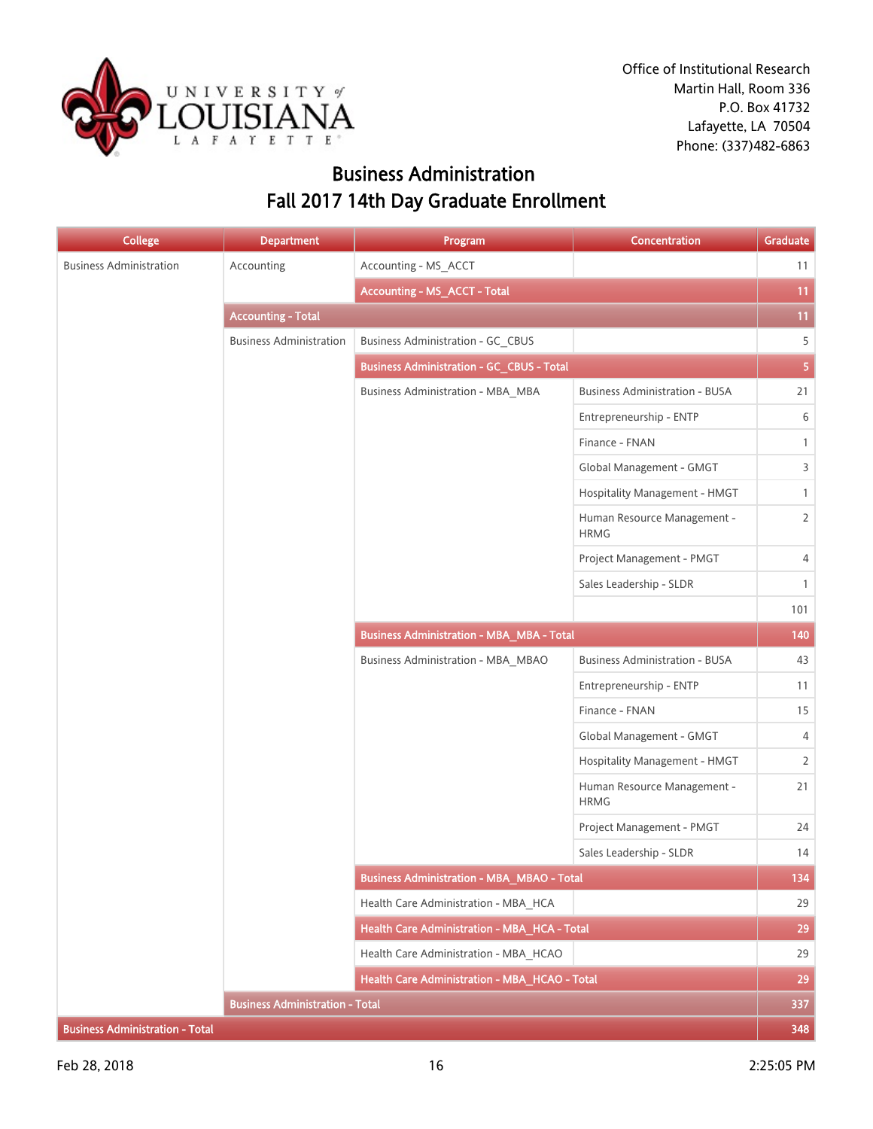

## Business Administration Fall 2017 14th Day Graduate Enrollment

| <b>College</b>                         | <b>Department</b>                      | Program                                           | Concentration                              | Graduate       |
|----------------------------------------|----------------------------------------|---------------------------------------------------|--------------------------------------------|----------------|
| <b>Business Administration</b>         | Accounting                             | Accounting - MS_ACCT                              |                                            | 11             |
|                                        |                                        | <b>Accounting - MS_ACCT - Total</b>               |                                            | 11             |
|                                        | <b>Accounting - Total</b>              |                                                   |                                            | 11             |
|                                        | <b>Business Administration</b>         | <b>Business Administration - GC_CBUS</b>          |                                            | 5              |
|                                        |                                        | <b>Business Administration - GC_CBUS - Total</b>  |                                            | $\overline{5}$ |
|                                        |                                        | <b>Business Administration - MBA_MBA</b>          | <b>Business Administration - BUSA</b>      | 21             |
|                                        |                                        |                                                   | Entrepreneurship - ENTP                    | 6              |
|                                        |                                        |                                                   | Finance - FNAN                             | $\mathbf{1}$   |
|                                        |                                        |                                                   | Global Management - GMGT                   | 3              |
|                                        |                                        |                                                   | Hospitality Management - HMGT              | $\mathbf{1}$   |
|                                        |                                        |                                                   | Human Resource Management -<br><b>HRMG</b> | $\overline{2}$ |
|                                        |                                        |                                                   | Project Management - PMGT                  | $\overline{4}$ |
|                                        |                                        |                                                   | Sales Leadership - SLDR                    | $\mathbf{1}$   |
|                                        |                                        |                                                   |                                            | 101            |
|                                        |                                        | <b>Business Administration - MBA_MBA - Total</b>  |                                            | 140            |
|                                        |                                        | <b>Business Administration - MBA_MBAO</b>         | <b>Business Administration - BUSA</b>      | 43             |
|                                        |                                        |                                                   | Entrepreneurship - ENTP                    | 11             |
|                                        |                                        |                                                   | Finance - FNAN                             | 15             |
|                                        |                                        |                                                   | Global Management - GMGT                   | 4              |
|                                        |                                        |                                                   | Hospitality Management - HMGT              | $\overline{2}$ |
|                                        |                                        |                                                   | Human Resource Management -<br><b>HRMG</b> | 21             |
|                                        |                                        |                                                   | Project Management - PMGT                  | 24             |
|                                        |                                        |                                                   | Sales Leadership - SLDR                    | 14             |
|                                        |                                        | <b>Business Administration - MBA_MBAO - Total</b> |                                            | 134            |
|                                        |                                        | Health Care Administration - MBA_HCA              |                                            | 29             |
|                                        |                                        | Health Care Administration - MBA_HCA - Total      |                                            | 29             |
|                                        |                                        | Health Care Administration - MBA_HCAO             |                                            | 29             |
|                                        |                                        | Health Care Administration - MBA HCAO - Total     |                                            | 29             |
|                                        | <b>Business Administration - Total</b> |                                                   |                                            | 337            |
| <b>Business Administration - Total</b> |                                        |                                                   |                                            | 348            |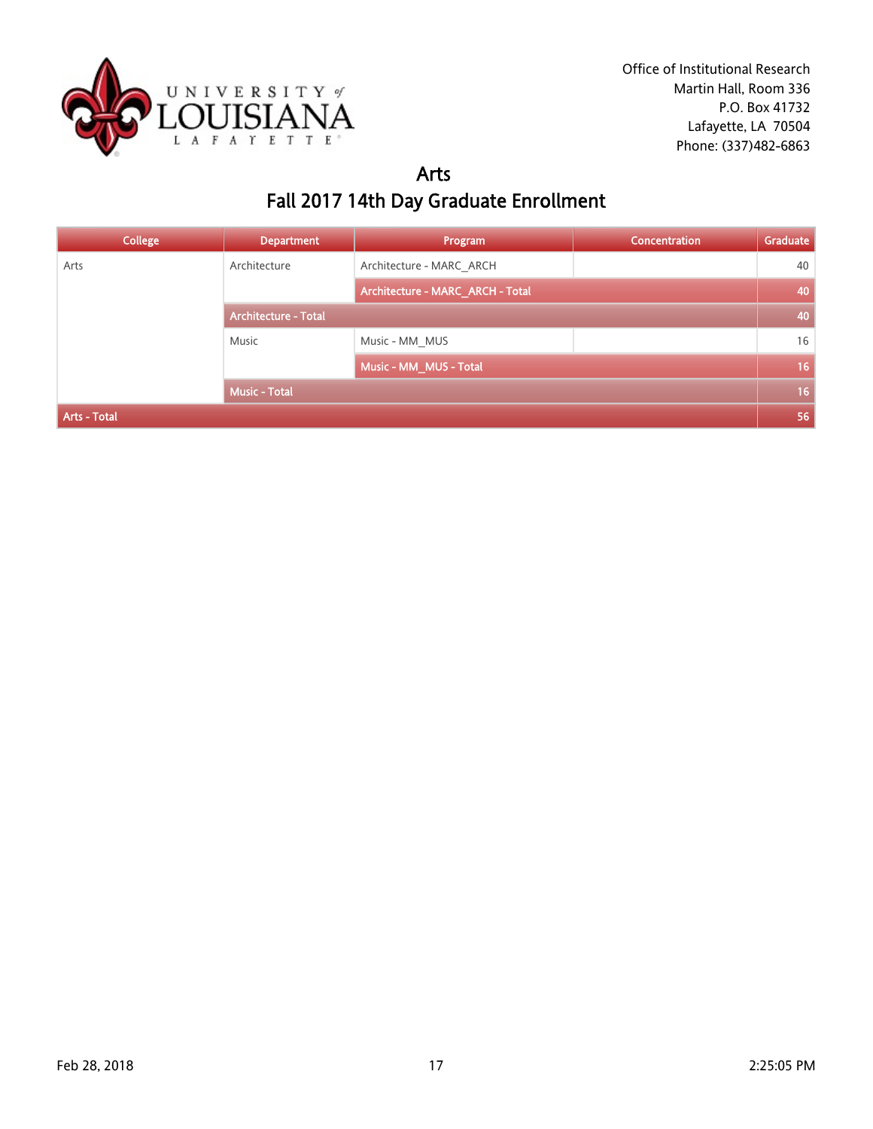

### Arts Fall 2017 14th Day Graduate Enrollment

| <b>College</b> | <b>Department</b>           | Program                          | <b>Concentration</b> | Graduate |
|----------------|-----------------------------|----------------------------------|----------------------|----------|
| Arts           | Architecture                | Architecture - MARC ARCH         |                      | 40       |
|                |                             | Architecture - MARC_ARCH - Total |                      | 40       |
|                | <b>Architecture - Total</b> |                                  |                      | 40       |
|                | Music                       | Music - MM MUS                   |                      | 16       |
|                |                             | Music - MM_MUS - Total           |                      | 16       |
|                | <b>Music - Total</b>        |                                  |                      | 16       |
| Arts - Total   |                             |                                  |                      | 56       |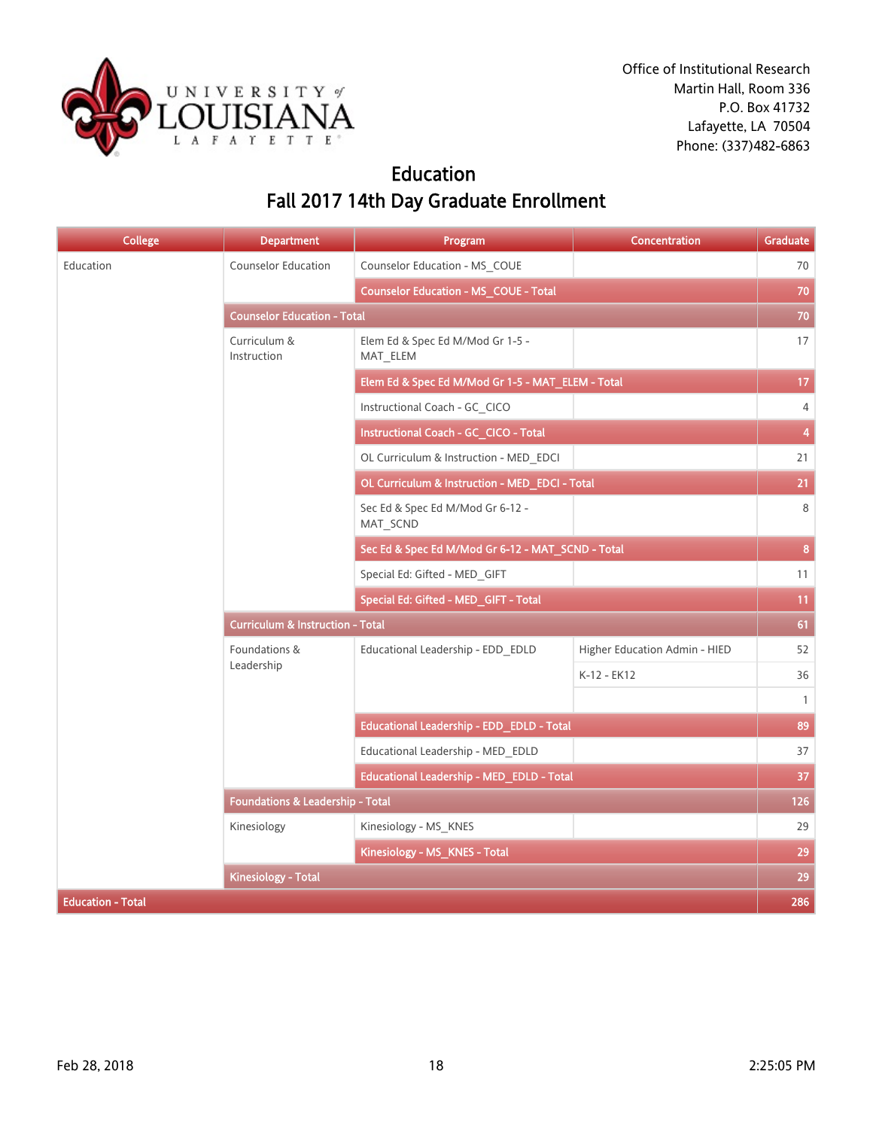

## Education Fall 2017 14th Day Graduate Enrollment

| <b>College</b>           | <b>Department</b>                           | Program                                           | <b>Concentration</b>                         | Graduate                |
|--------------------------|---------------------------------------------|---------------------------------------------------|----------------------------------------------|-------------------------|
| Education                | Counselor Education                         | Counselor Education - MS_COUE                     | Higher Education Admin - HIED<br>K-12 - EK12 | 70                      |
|                          |                                             | <b>Counselor Education - MS_COUE - Total</b>      |                                              | 70                      |
|                          | <b>Counselor Education - Total</b>          |                                                   |                                              | 70                      |
|                          | Curriculum &<br>Instruction                 | Elem Ed & Spec Ed M/Mod Gr 1-5 -<br>MAT_ELEM      |                                              | 17                      |
|                          |                                             | Elem Ed & Spec Ed M/Mod Gr 1-5 - MAT_ELEM - Total |                                              | 17                      |
|                          |                                             | Instructional Coach - GC CICO                     |                                              | $\overline{4}$          |
|                          |                                             | Instructional Coach - GC_CICO - Total             |                                              | $\overline{\mathbf{4}}$ |
|                          |                                             | OL Curriculum & Instruction - MED EDCI            |                                              | 21                      |
|                          |                                             | OL Curriculum & Instruction - MED_EDCI - Total    |                                              | 21                      |
|                          |                                             | Sec Ed & Spec Ed M/Mod Gr 6-12 -<br>MAT_SCND      |                                              | 8                       |
|                          |                                             | Sec Ed & Spec Ed M/Mod Gr 6-12 - MAT_SCND - Total |                                              | 8                       |
|                          |                                             | Special Ed: Gifted - MED_GIFT                     |                                              | 11                      |
|                          |                                             | Special Ed: Gifted - MED_GIFT - Total             |                                              | 11                      |
|                          | <b>Curriculum &amp; Instruction - Total</b> |                                                   |                                              |                         |
|                          | Foundations &<br>Leadership                 | Educational Leadership - EDD_EDLD                 |                                              | 52                      |
|                          |                                             |                                                   |                                              | 36                      |
|                          |                                             |                                                   |                                              | $\mathbf{1}$            |
|                          |                                             | Educational Leadership - EDD_EDLD - Total         |                                              | 89                      |
|                          |                                             | Educational Leadership - MED_EDLD                 |                                              | 37                      |
|                          |                                             | Educational Leadership - MED_EDLD - Total         |                                              | 37                      |
|                          | Foundations & Leadership - Total            |                                                   |                                              | 126                     |
|                          | Kinesiology                                 | Kinesiology - MS_KNES                             |                                              | 29                      |
|                          |                                             | Kinesiology - MS_KNES - Total                     |                                              | 29                      |
|                          | <b>Kinesiology - Total</b>                  |                                                   |                                              | 29                      |
| <b>Education - Total</b> |                                             |                                                   |                                              | 286                     |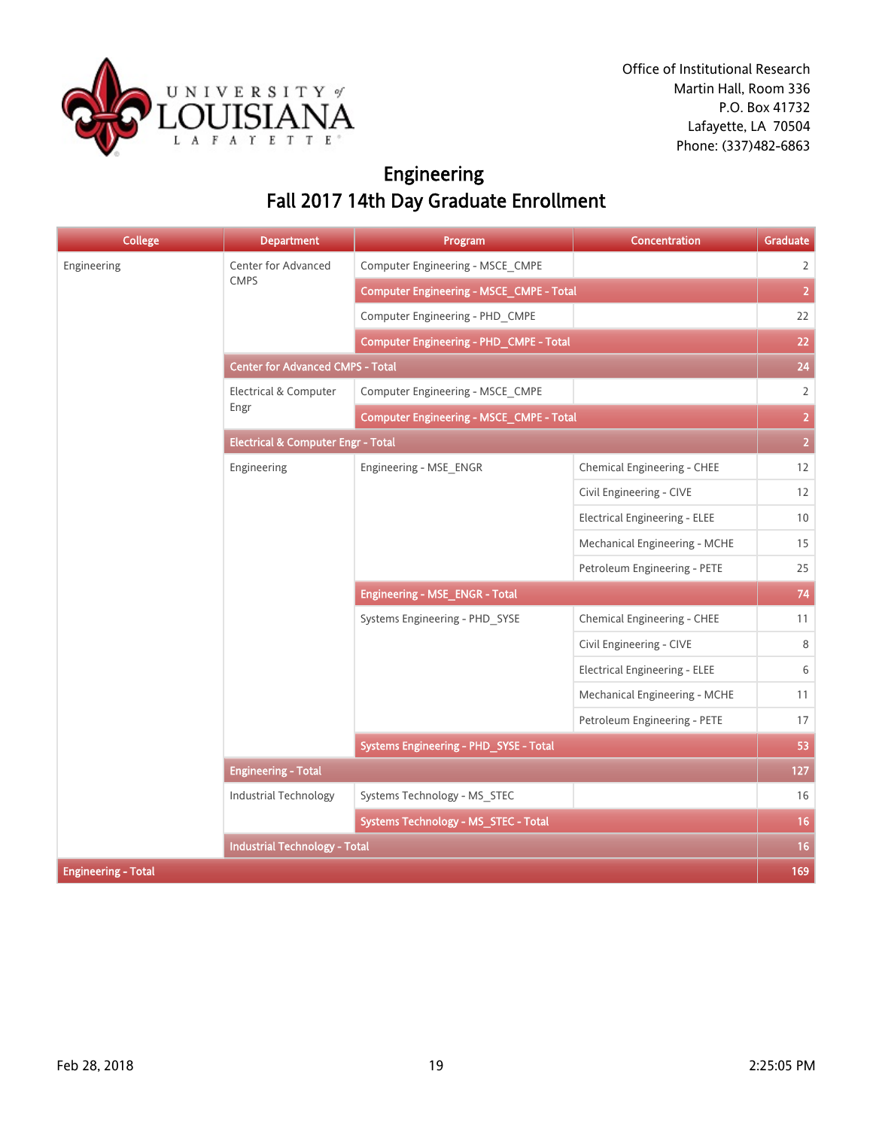

## Engineering Fall 2017 14th Day Graduate Enrollment

| <b>College</b>             | <b>Department</b>                             | Program                                         | <b>Concentration</b>                                                                                                                                                                                                                                                                                                          | Graduate       |
|----------------------------|-----------------------------------------------|-------------------------------------------------|-------------------------------------------------------------------------------------------------------------------------------------------------------------------------------------------------------------------------------------------------------------------------------------------------------------------------------|----------------|
| Engineering                | Center for Advanced                           | Computer Engineering - MSCE_CMPE                | Chemical Engineering - CHEE<br>Civil Engineering - CIVE<br><b>Electrical Engineering - ELEE</b><br>Mechanical Engineering - MCHE<br>Petroleum Engineering - PETE<br>Chemical Engineering - CHEE<br>Civil Engineering - CIVE<br>Electrical Engineering - ELEE<br>Mechanical Engineering - MCHE<br>Petroleum Engineering - PETE | $\overline{2}$ |
|                            | <b>CMPS</b>                                   | <b>Computer Engineering - MSCE_CMPE - Total</b> |                                                                                                                                                                                                                                                                                                                               | $\overline{2}$ |
|                            |                                               | Computer Engineering - PHD CMPE                 |                                                                                                                                                                                                                                                                                                                               | 22             |
|                            |                                               | Computer Engineering - PHD_CMPE - Total         |                                                                                                                                                                                                                                                                                                                               | 22             |
|                            | <b>Center for Advanced CMPS - Total</b>       |                                                 |                                                                                                                                                                                                                                                                                                                               | 24             |
|                            | Electrical & Computer                         | Computer Engineering - MSCE_CMPE                |                                                                                                                                                                                                                                                                                                                               | $\overline{2}$ |
|                            | Engr                                          | <b>Computer Engineering - MSCE_CMPE - Total</b> |                                                                                                                                                                                                                                                                                                                               | $\overline{2}$ |
|                            | <b>Electrical &amp; Computer Engr - Total</b> |                                                 |                                                                                                                                                                                                                                                                                                                               |                |
|                            | Engineering                                   | Engineering - MSE_ENGR                          |                                                                                                                                                                                                                                                                                                                               | 12             |
|                            |                                               |                                                 |                                                                                                                                                                                                                                                                                                                               | 12             |
|                            |                                               |                                                 |                                                                                                                                                                                                                                                                                                                               | 10             |
|                            |                                               |                                                 |                                                                                                                                                                                                                                                                                                                               | 15             |
|                            |                                               |                                                 |                                                                                                                                                                                                                                                                                                                               | 25             |
|                            |                                               | <b>Engineering - MSE_ENGR - Total</b>           |                                                                                                                                                                                                                                                                                                                               |                |
|                            |                                               | Systems Engineering - PHD_SYSE                  |                                                                                                                                                                                                                                                                                                                               | 11             |
|                            |                                               |                                                 |                                                                                                                                                                                                                                                                                                                               | 8              |
|                            |                                               |                                                 |                                                                                                                                                                                                                                                                                                                               | 6              |
|                            |                                               |                                                 |                                                                                                                                                                                                                                                                                                                               | 11             |
|                            |                                               |                                                 |                                                                                                                                                                                                                                                                                                                               | 17             |
|                            |                                               | Systems Engineering - PHD_SYSE - Total          |                                                                                                                                                                                                                                                                                                                               | 53             |
|                            | <b>Engineering - Total</b>                    |                                                 |                                                                                                                                                                                                                                                                                                                               | 127            |
|                            | Industrial Technology                         | Systems Technology - MS_STEC                    |                                                                                                                                                                                                                                                                                                                               | 16             |
|                            |                                               | Systems Technology - MS_STEC - Total            |                                                                                                                                                                                                                                                                                                                               | 16             |
|                            | <b>Industrial Technology - Total</b>          |                                                 |                                                                                                                                                                                                                                                                                                                               | 16             |
| <b>Engineering - Total</b> |                                               |                                                 |                                                                                                                                                                                                                                                                                                                               | 169            |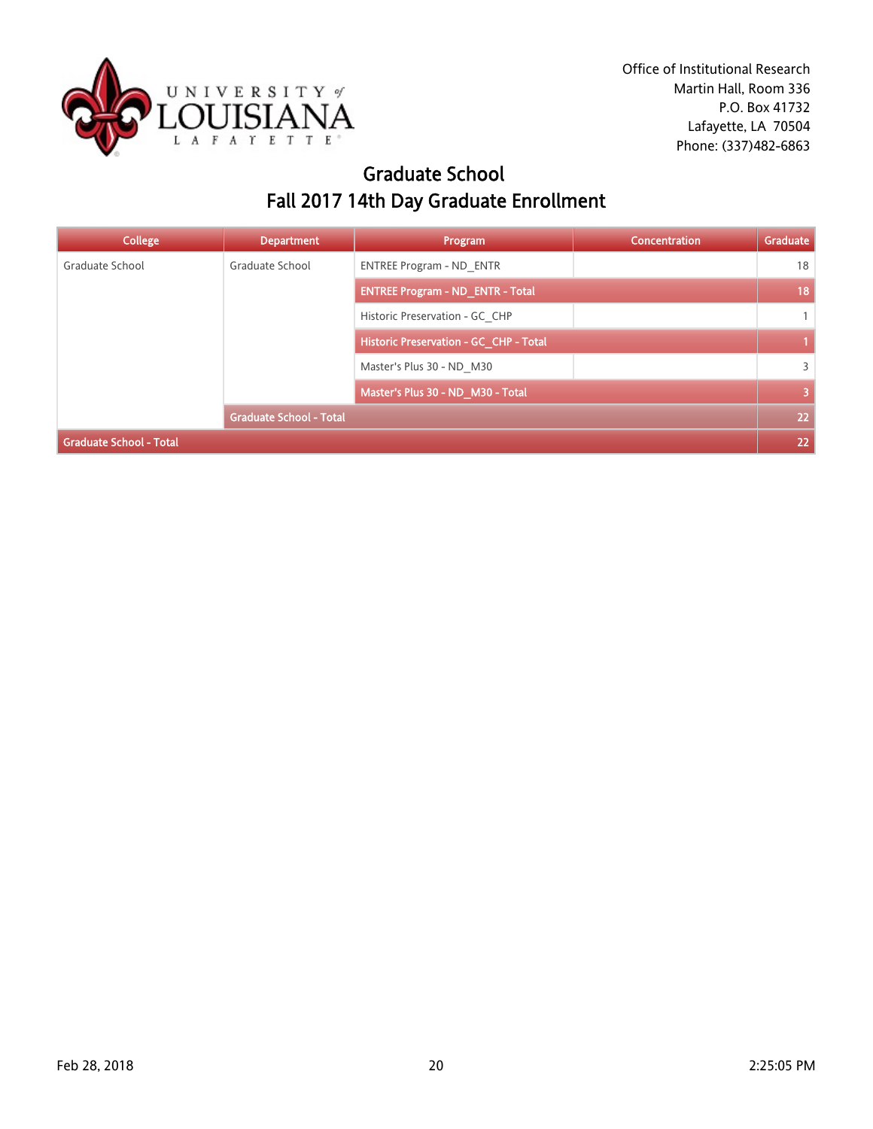

### Graduate School Fall 2017 14th Day Graduate Enrollment

| <b>College</b>                 | <b>Department</b>              | Program                                 | Concentration | Graduate                |
|--------------------------------|--------------------------------|-----------------------------------------|---------------|-------------------------|
| Graduate School                | Graduate School                | <b>ENTREE Program - ND ENTR</b>         |               | 18                      |
|                                |                                | <b>ENTREE Program - ND ENTR - Total</b> |               | 18                      |
|                                |                                | Historic Preservation - GC CHP          |               | $\mathbf{1}$            |
|                                |                                | Historic Preservation - GC_CHP - Total  |               |                         |
|                                |                                | Master's Plus 30 - ND M30               |               | 3                       |
|                                |                                | Master's Plus 30 - ND_M30 - Total       |               | $\overline{\mathbf{3}}$ |
|                                | <b>Graduate School - Total</b> |                                         |               | 22                      |
| <b>Graduate School - Total</b> |                                |                                         |               |                         |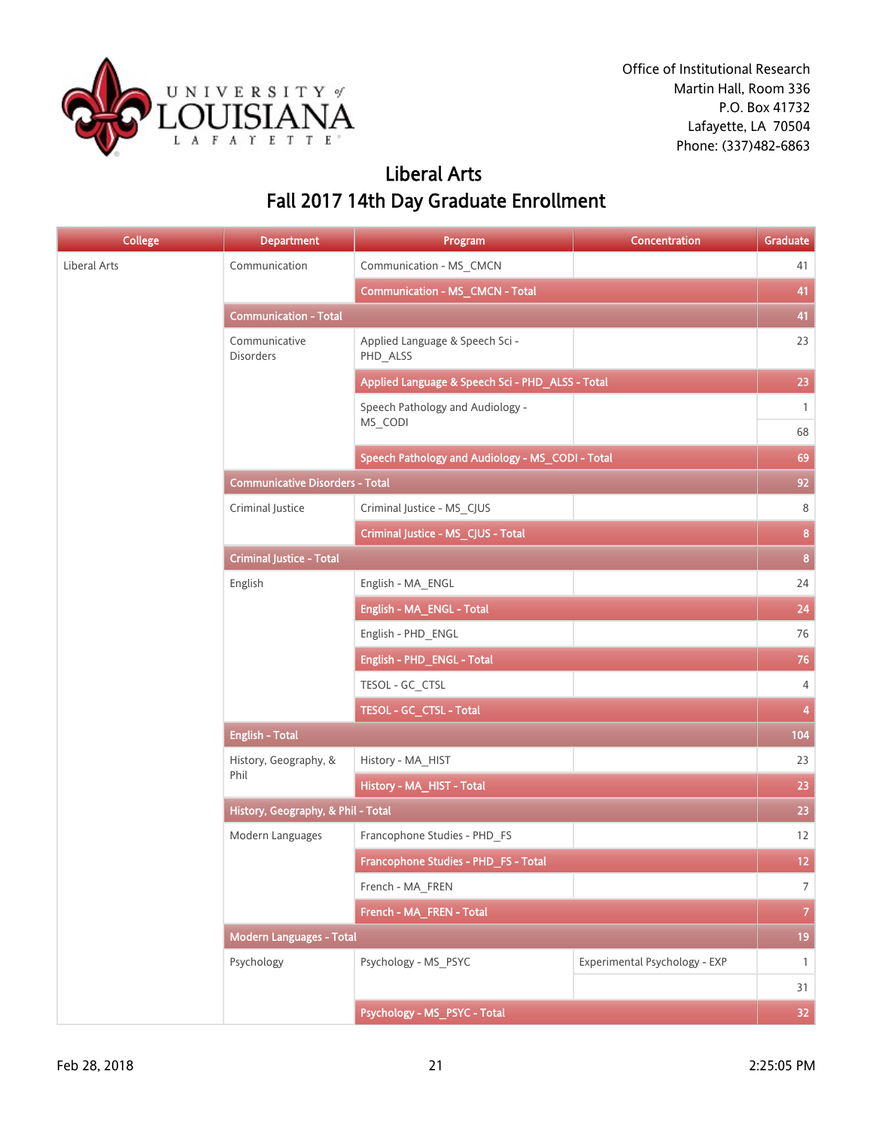

## Liberal Arts Fall 2017 14th Day Graduate Enrollment

| College      | <b>Department</b>                      | Program                                          | <b>Concentration</b>          | Graduate                |
|--------------|----------------------------------------|--------------------------------------------------|-------------------------------|-------------------------|
| Liberal Arts | Communication                          | Communication - MS_CMCN                          |                               | 41                      |
|              |                                        | <b>Communication - MS_CMCN - Total</b>           |                               | 41                      |
|              | <b>Communication - Total</b>           |                                                  |                               | 41                      |
|              | Communicative<br><b>Disorders</b>      | Applied Language & Speech Sci -<br>PHD_ALSS      |                               | 23                      |
|              |                                        | Applied Language & Speech Sci - PHD_ALSS - Total |                               | 23                      |
|              |                                        | Speech Pathology and Audiology -<br>MS_CODI      |                               | $\mathbf{1}$<br>68      |
|              |                                        | Speech Pathology and Audiology - MS_CODI - Total |                               | 69                      |
|              | <b>Communicative Disorders - Total</b> |                                                  |                               |                         |
|              | Criminal Justice                       | Criminal Justice - MS_CJUS                       |                               | 92<br>8                 |
|              |                                        | Criminal Justice - MS_CJUS - Total               |                               | $\mathbf{8}$            |
|              | <b>Criminal Justice - Total</b>        |                                                  |                               | $\mathbf{8}$            |
|              | English                                | English - MA ENGL                                |                               | 24                      |
|              |                                        | English - MA_ENGL - Total                        |                               | 24                      |
|              |                                        | English - PHD_ENGL                               |                               | 76                      |
|              |                                        | English - PHD_ENGL - Total                       |                               | 76                      |
|              |                                        | TESOL - GC_CTSL                                  |                               | $\overline{4}$          |
|              |                                        | TESOL - GC_CTSL - Total                          |                               | $\overline{\mathbf{4}}$ |
|              | <b>English - Total</b>                 |                                                  |                               | 104                     |
|              | History, Geography, &                  | History - MA_HIST                                |                               | 23                      |
|              | Phil                                   | History - MA_HIST - Total                        |                               | 23                      |
|              | History, Geography, & Phil - Total     |                                                  |                               | 23                      |
|              | Modern Languages                       | Francophone Studies - PHD FS                     |                               | 12                      |
|              |                                        | Francophone Studies - PHD_FS - Total             |                               | 12 <sub>12</sub>        |
|              |                                        | French - MA_FREN                                 |                               | $\overline{7}$          |
|              |                                        | French - MA_FREN - Total                         |                               | $\overline{7}$          |
|              | <b>Modern Languages - Total</b>        |                                                  |                               | 19                      |
|              | Psychology                             | Psychology - MS_PSYC                             | Experimental Psychology - EXP | $\mathbf{1}$            |
|              |                                        |                                                  |                               | 31                      |
|              |                                        | Psychology - MS_PSYC - Total                     |                               | 32 <sub>1</sub>         |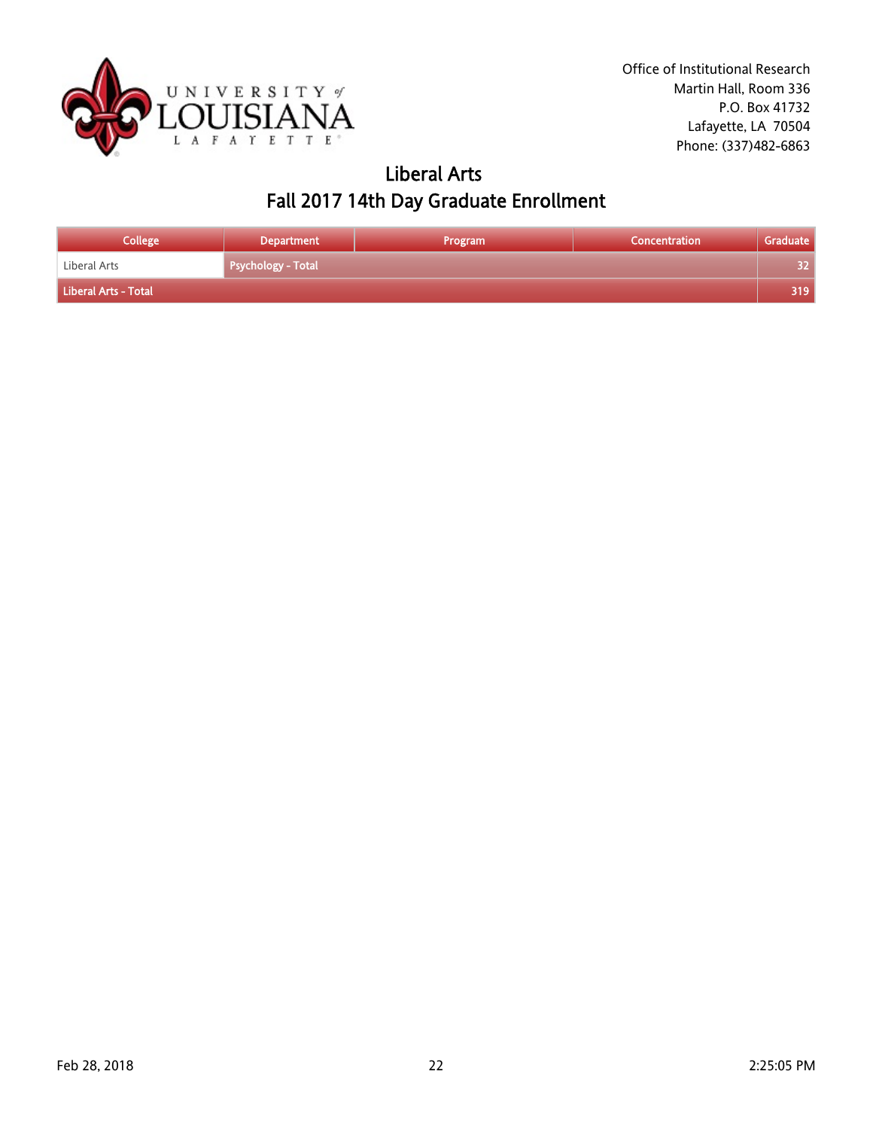

### Liberal Arts Fall 2017 14th Day Graduate Enrollment

| College              | <b>Department</b>         | Program | Concentration | Graduate |
|----------------------|---------------------------|---------|---------------|----------|
| Liberal Arts         | <b>Psychology - Total</b> |         |               | 32       |
| Liberal Arts - Total |                           |         |               | 319.     |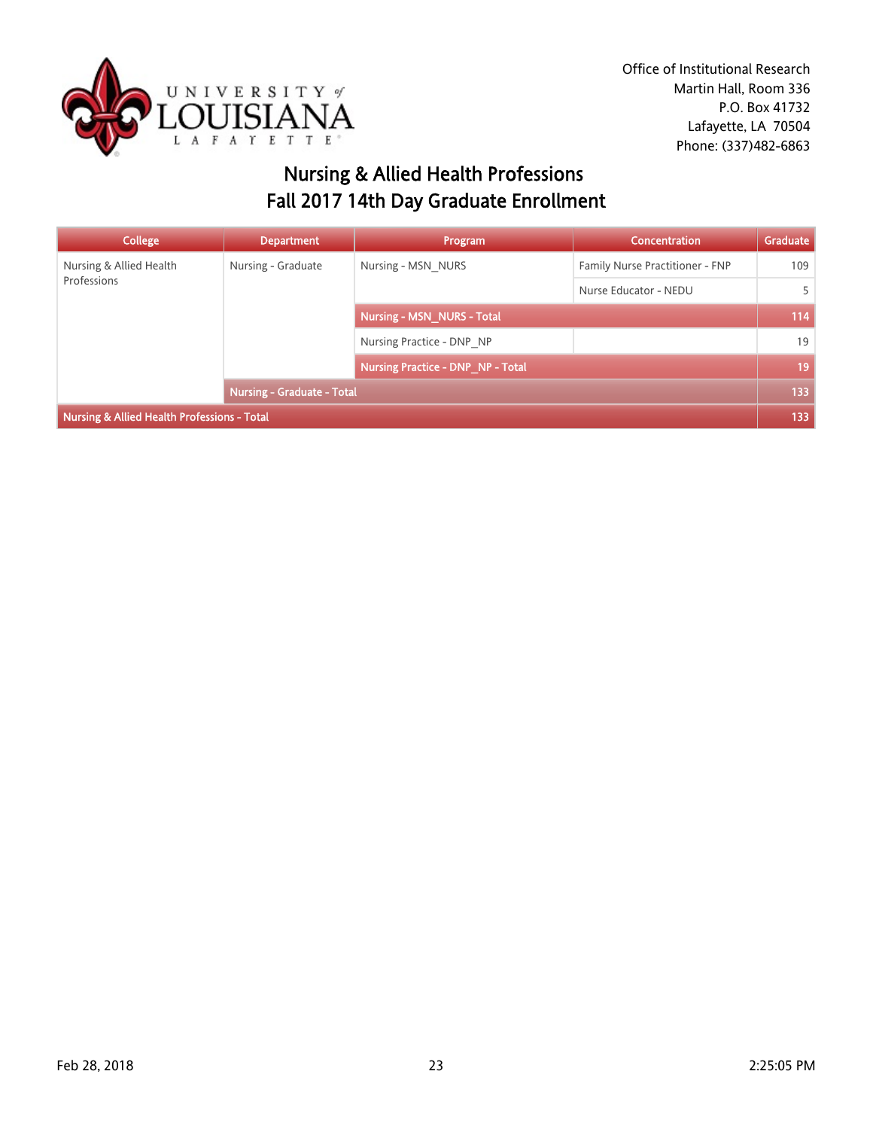

## Nursing & Allied Health Professions Fall 2017 14th Day Graduate Enrollment

| <b>College</b>                              | <b>Department</b>          | Program                                  | Concentration                   | Graduate |
|---------------------------------------------|----------------------------|------------------------------------------|---------------------------------|----------|
| Nursing & Allied Health                     | Nursing - Graduate         | Nursing - MSN NURS                       | Family Nurse Practitioner - FNP | 109      |
| Professions                                 |                            |                                          | Nurse Educator - NEDU           | 5        |
|                                             |                            | <b>Nursing - MSN_NURS - Total</b>        |                                 | 114      |
|                                             |                            | Nursing Practice - DNP NP                |                                 | 19       |
|                                             |                            | <b>Nursing Practice - DNP NP - Total</b> |                                 | 19       |
|                                             | Nursing - Graduate - Total |                                          |                                 | 133      |
| Nursing & Allied Health Professions - Total |                            |                                          |                                 |          |